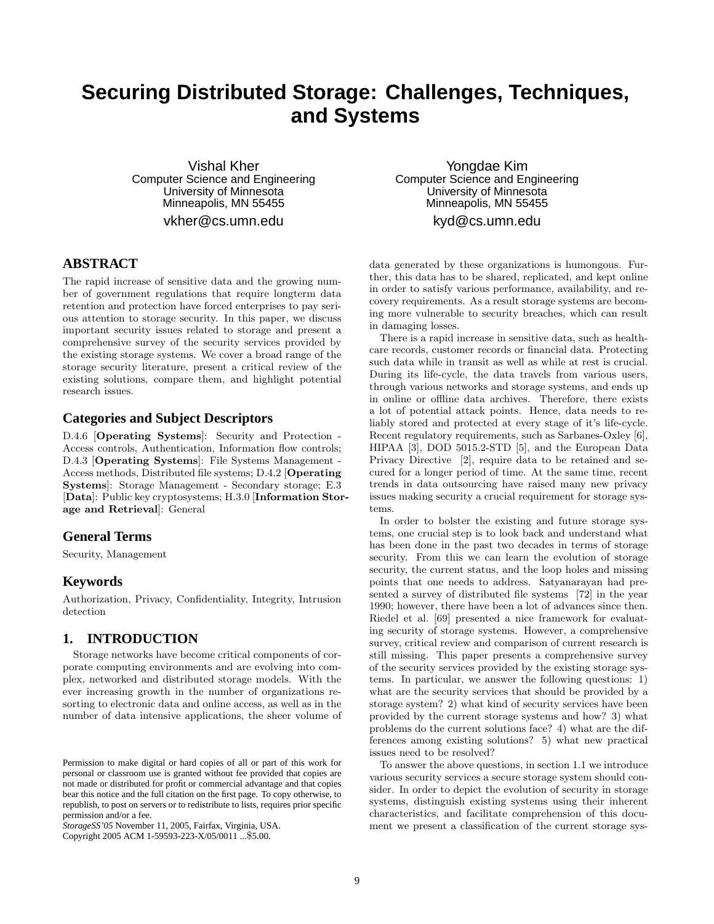# **Securing Distributed Storage: Challenges, Techniques, and Systems**

Vishal Kher Computer Science and Engineering University of Minnesota Minneapolis, MN 55455

vkher@cs.umn.edu

## **ABSTRACT**

The rapid increase of sensitive data and the growing number of government regulations that require longterm data retention and protection have forced enterprises to pay serious attention to storage security. In this paper, we discuss important security issues related to storage and present a comprehensive survey of the security services provided by the existing storage systems. We cover a broad range of the storage security literature, present a critical review of the existing solutions, compare them, and highlight potential research issues.

## **Categories and Subject Descriptors**

D.4.6 [Operating Systems]: Security and Protection - Access controls, Authentication, Information flow controls; D.4.3 [Operating Systems]: File Systems Management - Access methods, Distributed file systems; D.4.2 [Operating Systems]: Storage Management - Secondary storage; E.3 [Data]: Public key cryptosystems; H.3.0 [Information Storage and Retrieval]: General

#### **General Terms**

Security, Management

#### **Keywords**

Authorization, Privacy, Confidentiality, Integrity, Intrusion detection

#### **1. INTRODUCTION**

Storage networks have become critical components of corporate computing environments and are evolving into complex, networked and distributed storage models. With the ever increasing growth in the number of organizations resorting to electronic data and online access, as well as in the number of data intensive applications, the sheer volume of

Copyright 2005 ACM 1-59593-223-X/05/0011 ...\$5.00.

Yongdae Kim Computer Science and Engineering University of Minnesota Minneapolis, MN 55455 kyd@cs.umn.edu

data generated by these organizations is humongous. Further, this data has to be shared, replicated, and kept online in order to satisfy various performance, availability, and recovery requirements. As a result storage systems are becoming more vulnerable to security breaches, which can result in damaging losses.

There is a rapid increase in sensitive data, such as healthcare records, customer records or financial data. Protecting such data while in transit as well as while at rest is crucial. During its life-cycle, the data travels from various users, through various networks and storage systems, and ends up in online or offline data archives. Therefore, there exists a lot of potential attack points. Hence, data needs to reliably stored and protected at every stage of it's life-cycle. Recent regulatory requirements, such as Sarbanes-Oxley [6], HIPAA [3], DOD 5015.2-STD [5], and the European Data Privacy Directive [2], require data to be retained and secured for a longer period of time. At the same time, recent trends in data outsourcing have raised many new privacy issues making security a crucial requirement for storage systems.

In order to bolster the existing and future storage systems, one crucial step is to look back and understand what has been done in the past two decades in terms of storage security. From this we can learn the evolution of storage security, the current status, and the loop holes and missing points that one needs to address. Satyanarayan had presented a survey of distributed file systems [72] in the year 1990; however, there have been a lot of advances since then. Riedel et al. [69] presented a nice framework for evaluating security of storage systems. However, a comprehensive survey, critical review and comparison of current research is still missing. This paper presents a comprehensive survey of the security services provided by the existing storage systems. In particular, we answer the following questions: 1) what are the security services that should be provided by a storage system? 2) what kind of security services have been provided by the current storage systems and how? 3) what problems do the current solutions face? 4) what are the differences among existing solutions? 5) what new practical issues need to be resolved?

To answer the above questions, in section 1.1 we introduce various security services a secure storage system should consider. In order to depict the evolution of security in storage systems, distinguish existing systems using their inherent characteristics, and facilitate comprehension of this document we present a classification of the current storage sys-

Permission to make digital or hard copies of all or part of this work for personal or classroom use is granted without fee provided that copies are not made or distributed for profit or commercial advantage and that copies bear this notice and the full citation on the first page. To copy otherwise, to republish, to post on servers or to redistribute to lists, requires prior specific permission and/or a fee.

*StorageSS'05* November 11, 2005, Fairfax, Virginia, USA.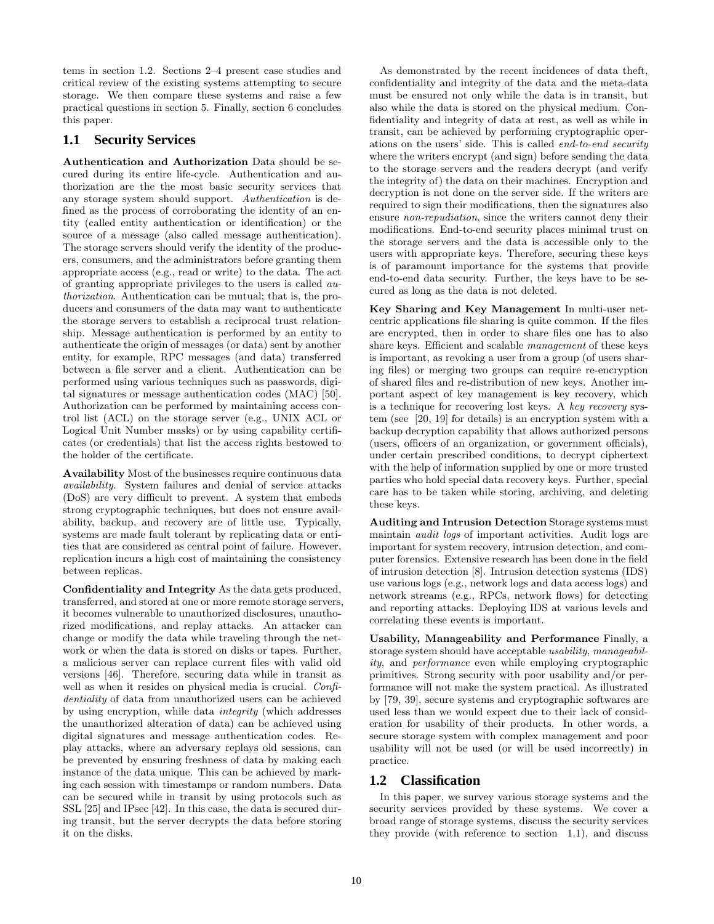tems in section 1.2. Sections 2–4 present case studies and critical review of the existing systems attempting to secure storage. We then compare these systems and raise a few practical questions in section 5. Finally, section 6 concludes this paper.

## **1.1 Security Services**

Authentication and Authorization Data should be secured during its entire life-cycle. Authentication and authorization are the the most basic security services that any storage system should support. Authentication is defined as the process of corroborating the identity of an entity (called entity authentication or identification) or the source of a message (also called message authentication). The storage servers should verify the identity of the producers, consumers, and the administrators before granting them appropriate access (e.g., read or write) to the data. The act of granting appropriate privileges to the users is called authorization. Authentication can be mutual; that is, the producers and consumers of the data may want to authenticate the storage servers to establish a reciprocal trust relationship. Message authentication is performed by an entity to authenticate the origin of messages (or data) sent by another entity, for example, RPC messages (and data) transferred between a file server and a client. Authentication can be performed using various techniques such as passwords, digital signatures or message authentication codes (MAC) [50]. Authorization can be performed by maintaining access control list (ACL) on the storage server (e.g., UNIX ACL or Logical Unit Number masks) or by using capability certificates (or credentials) that list the access rights bestowed to the holder of the certificate.

Availability Most of the businesses require continuous data availability. System failures and denial of service attacks (DoS) are very difficult to prevent. A system that embeds strong cryptographic techniques, but does not ensure availability, backup, and recovery are of little use. Typically, systems are made fault tolerant by replicating data or entities that are considered as central point of failure. However, replication incurs a high cost of maintaining the consistency between replicas.

Confidentiality and Integrity As the data gets produced, transferred, and stored at one or more remote storage servers, it becomes vulnerable to unauthorized disclosures, unauthorized modifications, and replay attacks. An attacker can change or modify the data while traveling through the network or when the data is stored on disks or tapes. Further, a malicious server can replace current files with valid old versions [46]. Therefore, securing data while in transit as well as when it resides on physical media is crucial. Confidentiality of data from unauthorized users can be achieved by using encryption, while data integrity (which addresses the unauthorized alteration of data) can be achieved using digital signatures and message authentication codes. Replay attacks, where an adversary replays old sessions, can be prevented by ensuring freshness of data by making each instance of the data unique. This can be achieved by marking each session with timestamps or random numbers. Data can be secured while in transit by using protocols such as SSL [25] and IPsec [42]. In this case, the data is secured during transit, but the server decrypts the data before storing it on the disks.

As demonstrated by the recent incidences of data theft, confidentiality and integrity of the data and the meta-data must be ensured not only while the data is in transit, but also while the data is stored on the physical medium. Confidentiality and integrity of data at rest, as well as while in transit, can be achieved by performing cryptographic operations on the users' side. This is called end-to-end security where the writers encrypt (and sign) before sending the data to the storage servers and the readers decrypt (and verify the integrity of) the data on their machines. Encryption and decryption is not done on the server side. If the writers are required to sign their modifications, then the signatures also ensure non-repudiation, since the writers cannot deny their modifications. End-to-end security places minimal trust on the storage servers and the data is accessible only to the users with appropriate keys. Therefore, securing these keys is of paramount importance for the systems that provide end-to-end data security. Further, the keys have to be secured as long as the data is not deleted.

Key Sharing and Key Management In multi-user netcentric applications file sharing is quite common. If the files are encrypted, then in order to share files one has to also share keys. Efficient and scalable management of these keys is important, as revoking a user from a group (of users sharing files) or merging two groups can require re-encryption of shared files and re-distribution of new keys. Another important aspect of key management is key recovery, which is a technique for recovering lost keys. A key recovery system (see [20, 19] for details) is an encryption system with a backup decryption capability that allows authorized persons (users, officers of an organization, or government officials), under certain prescribed conditions, to decrypt ciphertext with the help of information supplied by one or more trusted parties who hold special data recovery keys. Further, special care has to be taken while storing, archiving, and deleting these keys.

Auditing and Intrusion Detection Storage systems must maintain audit logs of important activities. Audit logs are important for system recovery, intrusion detection, and computer forensics. Extensive research has been done in the field of intrusion detection [8]. Intrusion detection systems (IDS) use various logs (e.g., network logs and data access logs) and network streams (e.g., RPCs, network flows) for detecting and reporting attacks. Deploying IDS at various levels and correlating these events is important.

Usability, Manageability and Performance Finally, a storage system should have acceptable usability, manageability, and performance even while employing cryptographic primitives. Strong security with poor usability and/or performance will not make the system practical. As illustrated by [79, 39], secure systems and cryptographic softwares are used less than we would expect due to their lack of consideration for usability of their products. In other words, a secure storage system with complex management and poor usability will not be used (or will be used incorrectly) in practice.

# **1.2 Classification**

In this paper, we survey various storage systems and the security services provided by these systems. We cover a broad range of storage systems, discuss the security services they provide (with reference to section 1.1), and discuss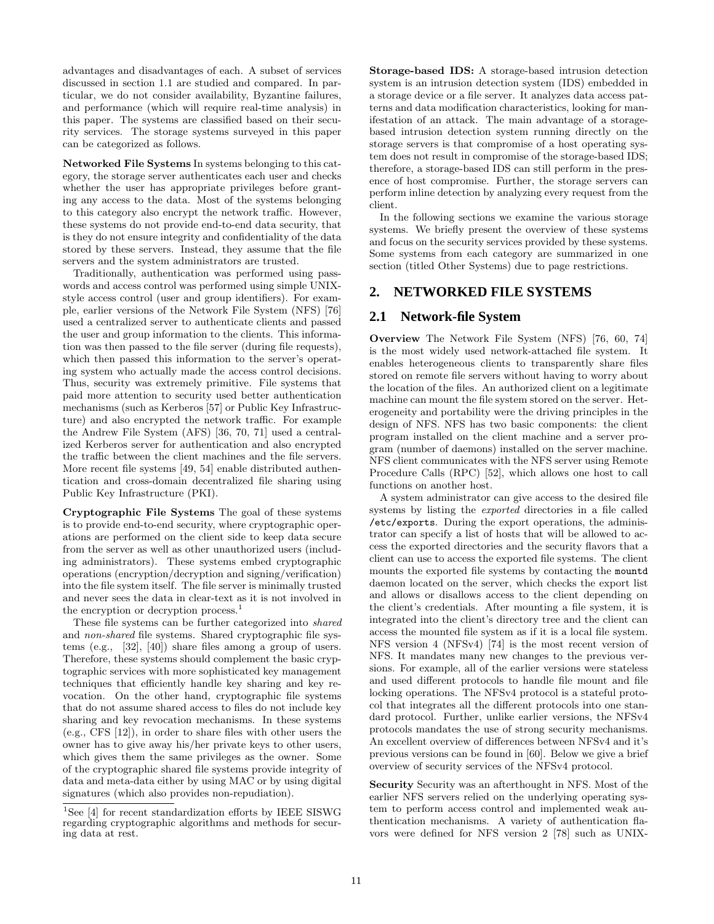advantages and disadvantages of each. A subset of services discussed in section 1.1 are studied and compared. In particular, we do not consider availability, Byzantine failures, and performance (which will require real-time analysis) in this paper. The systems are classified based on their security services. The storage systems surveyed in this paper can be categorized as follows.

Networked File Systems In systems belonging to this category, the storage server authenticates each user and checks whether the user has appropriate privileges before granting any access to the data. Most of the systems belonging to this category also encrypt the network traffic. However, these systems do not provide end-to-end data security, that is they do not ensure integrity and confidentiality of the data stored by these servers. Instead, they assume that the file servers and the system administrators are trusted.

Traditionally, authentication was performed using passwords and access control was performed using simple UNIXstyle access control (user and group identifiers). For example, earlier versions of the Network File System (NFS) [76] used a centralized server to authenticate clients and passed the user and group information to the clients. This information was then passed to the file server (during file requests), which then passed this information to the server's operating system who actually made the access control decisions. Thus, security was extremely primitive. File systems that paid more attention to security used better authentication mechanisms (such as Kerberos [57] or Public Key Infrastructure) and also encrypted the network traffic. For example the Andrew File System (AFS) [36, 70, 71] used a centralized Kerberos server for authentication and also encrypted the traffic between the client machines and the file servers. More recent file systems [49, 54] enable distributed authentication and cross-domain decentralized file sharing using Public Key Infrastructure (PKI).

Cryptographic File Systems The goal of these systems is to provide end-to-end security, where cryptographic operations are performed on the client side to keep data secure from the server as well as other unauthorized users (including administrators). These systems embed cryptographic operations (encryption/decryption and signing/verification) into the file system itself. The file server is minimally trusted and never sees the data in clear-text as it is not involved in the encryption or decryption process.<sup>1</sup>

These file systems can be further categorized into shared and non-shared file systems. Shared cryptographic file systems (e.g., [32], [40]) share files among a group of users. Therefore, these systems should complement the basic cryptographic services with more sophisticated key management techniques that efficiently handle key sharing and key revocation. On the other hand, cryptographic file systems that do not assume shared access to files do not include key sharing and key revocation mechanisms. In these systems (e.g., CFS [12]), in order to share files with other users the owner has to give away his/her private keys to other users, which gives them the same privileges as the owner. Some of the cryptographic shared file systems provide integrity of data and meta-data either by using MAC or by using digital signatures (which also provides non-repudiation).

Storage-based IDS: A storage-based intrusion detection system is an intrusion detection system (IDS) embedded in a storage device or a file server. It analyzes data access patterns and data modification characteristics, looking for manifestation of an attack. The main advantage of a storagebased intrusion detection system running directly on the storage servers is that compromise of a host operating system does not result in compromise of the storage-based IDS; therefore, a storage-based IDS can still perform in the presence of host compromise. Further, the storage servers can perform inline detection by analyzing every request from the client.

In the following sections we examine the various storage systems. We briefly present the overview of these systems and focus on the security services provided by these systems. Some systems from each category are summarized in one section (titled Other Systems) due to page restrictions.

## **2. NETWORKED FILE SYSTEMS**

## **2.1 Network-file System**

Overview The Network File System (NFS) [76, 60, 74] is the most widely used network-attached file system. It enables heterogeneous clients to transparently share files stored on remote file servers without having to worry about the location of the files. An authorized client on a legitimate machine can mount the file system stored on the server. Heterogeneity and portability were the driving principles in the design of NFS. NFS has two basic components: the client program installed on the client machine and a server program (number of daemons) installed on the server machine. NFS client communicates with the NFS server using Remote Procedure Calls (RPC) [52], which allows one host to call functions on another host.

A system administrator can give access to the desired file systems by listing the *exported* directories in a file called /etc/exports. During the export operations, the administrator can specify a list of hosts that will be allowed to access the exported directories and the security flavors that a client can use to access the exported file systems. The client mounts the exported file systems by contacting the mountd daemon located on the server, which checks the export list and allows or disallows access to the client depending on the client's credentials. After mounting a file system, it is integrated into the client's directory tree and the client can access the mounted file system as if it is a local file system. NFS version 4 (NFSv4) [74] is the most recent version of NFS. It mandates many new changes to the previous versions. For example, all of the earlier versions were stateless and used different protocols to handle file mount and file locking operations. The NFSv4 protocol is a stateful protocol that integrates all the different protocols into one standard protocol. Further, unlike earlier versions, the NFSv4 protocols mandates the use of strong security mechanisms. An excellent overview of differences between NFSv4 and it's previous versions can be found in [60]. Below we give a brief overview of security services of the NFSv4 protocol.

Security Security was an afterthought in NFS. Most of the earlier NFS servers relied on the underlying operating system to perform access control and implemented weak authentication mechanisms. A variety of authentication flavors were defined for NFS version 2 [78] such as UNIX-

<sup>&</sup>lt;sup>1</sup>See [4] for recent standardization efforts by IEEE SISWG regarding cryptographic algorithms and methods for securing data at rest.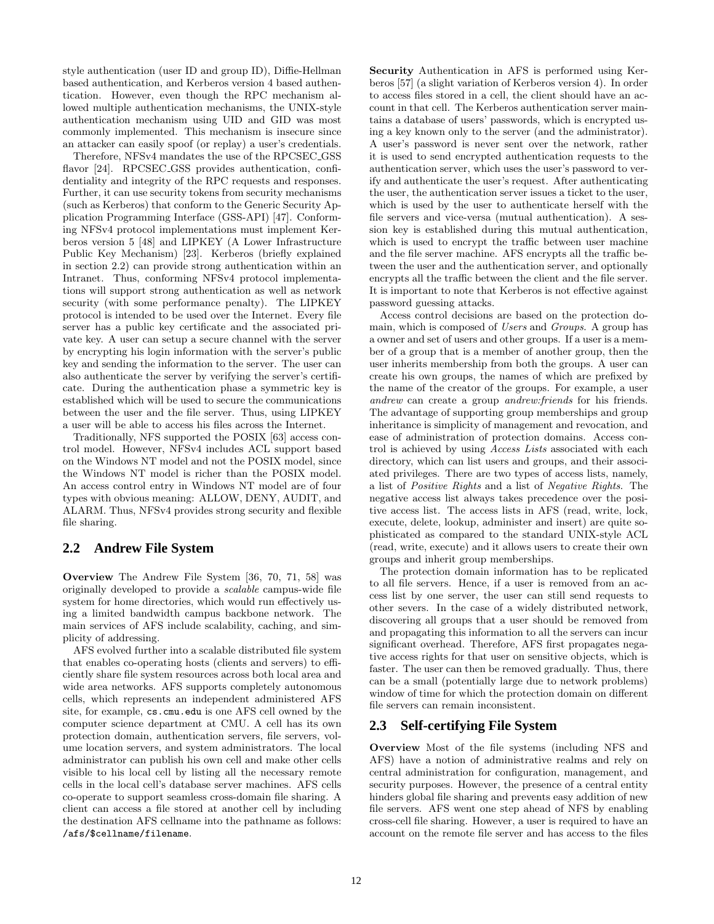style authentication (user ID and group ID), Diffie-Hellman based authentication, and Kerberos version 4 based authentication. However, even though the RPC mechanism allowed multiple authentication mechanisms, the UNIX-style authentication mechanism using UID and GID was most commonly implemented. This mechanism is insecure since an attacker can easily spoof (or replay) a user's credentials.

Therefore, NFSv4 mandates the use of the RPCSEC GSS flavor [24]. RPCSEC GSS provides authentication, confidentiality and integrity of the RPC requests and responses. Further, it can use security tokens from security mechanisms (such as Kerberos) that conform to the Generic Security Application Programming Interface (GSS-API) [47]. Conforming NFSv4 protocol implementations must implement Kerberos version 5 [48] and LIPKEY (A Lower Infrastructure Public Key Mechanism) [23]. Kerberos (briefly explained in section 2.2) can provide strong authentication within an Intranet. Thus, conforming NFSv4 protocol implementations will support strong authentication as well as network security (with some performance penalty). The LIPKEY protocol is intended to be used over the Internet. Every file server has a public key certificate and the associated private key. A user can setup a secure channel with the server by encrypting his login information with the server's public key and sending the information to the server. The user can also authenticate the server by verifying the server's certificate. During the authentication phase a symmetric key is established which will be used to secure the communications between the user and the file server. Thus, using LIPKEY a user will be able to access his files across the Internet.

Traditionally, NFS supported the POSIX [63] access control model. However, NFSv4 includes ACL support based on the Windows NT model and not the POSIX model, since the Windows NT model is richer than the POSIX model. An access control entry in Windows NT model are of four types with obvious meaning: ALLOW, DENY, AUDIT, and ALARM. Thus, NFSv4 provides strong security and flexible file sharing.

## **2.2 Andrew File System**

Overview The Andrew File System [36, 70, 71, 58] was originally developed to provide a scalable campus-wide file system for home directories, which would run effectively using a limited bandwidth campus backbone network. The main services of AFS include scalability, caching, and simplicity of addressing.

AFS evolved further into a scalable distributed file system that enables co-operating hosts (clients and servers) to efficiently share file system resources across both local area and wide area networks. AFS supports completely autonomous cells, which represents an independent administered AFS site, for example, cs.cmu.edu is one AFS cell owned by the computer science department at CMU. A cell has its own protection domain, authentication servers, file servers, volume location servers, and system administrators. The local administrator can publish his own cell and make other cells visible to his local cell by listing all the necessary remote cells in the local cell's database server machines. AFS cells co-operate to support seamless cross-domain file sharing. A client can access a file stored at another cell by including the destination AFS cellname into the pathname as follows: /afs/\$cellname/filename.

Security Authentication in AFS is performed using Kerberos [57] (a slight variation of Kerberos version 4). In order to access files stored in a cell, the client should have an account in that cell. The Kerberos authentication server maintains a database of users' passwords, which is encrypted using a key known only to the server (and the administrator). A user's password is never sent over the network, rather it is used to send encrypted authentication requests to the authentication server, which uses the user's password to verify and authenticate the user's request. After authenticating the user, the authentication server issues a ticket to the user, which is used by the user to authenticate herself with the file servers and vice-versa (mutual authentication). A session key is established during this mutual authentication, which is used to encrypt the traffic between user machine and the file server machine. AFS encrypts all the traffic between the user and the authentication server, and optionally encrypts all the traffic between the client and the file server. It is important to note that Kerberos is not effective against password guessing attacks.

Access control decisions are based on the protection domain, which is composed of Users and Groups. A group has a owner and set of users and other groups. If a user is a member of a group that is a member of another group, then the user inherits membership from both the groups. A user can create his own groups, the names of which are prefixed by the name of the creator of the groups. For example, a user andrew can create a group andrew:friends for his friends. The advantage of supporting group memberships and group inheritance is simplicity of management and revocation, and ease of administration of protection domains. Access control is achieved by using Access Lists associated with each directory, which can list users and groups, and their associated privileges. There are two types of access lists, namely, a list of Positive Rights and a list of Negative Rights. The negative access list always takes precedence over the positive access list. The access lists in AFS (read, write, lock, execute, delete, lookup, administer and insert) are quite sophisticated as compared to the standard UNIX-style ACL (read, write, execute) and it allows users to create their own groups and inherit group memberships.

The protection domain information has to be replicated to all file servers. Hence, if a user is removed from an access list by one server, the user can still send requests to other severs. In the case of a widely distributed network, discovering all groups that a user should be removed from and propagating this information to all the servers can incur significant overhead. Therefore, AFS first propagates negative access rights for that user on sensitive objects, which is faster. The user can then be removed gradually. Thus, there can be a small (potentially large due to network problems) window of time for which the protection domain on different file servers can remain inconsistent.

# **2.3 Self-certifying File System**

Overview Most of the file systems (including NFS and AFS) have a notion of administrative realms and rely on central administration for configuration, management, and security purposes. However, the presence of a central entity hinders global file sharing and prevents easy addition of new file servers. AFS went one step ahead of NFS by enabling cross-cell file sharing. However, a user is required to have an account on the remote file server and has access to the files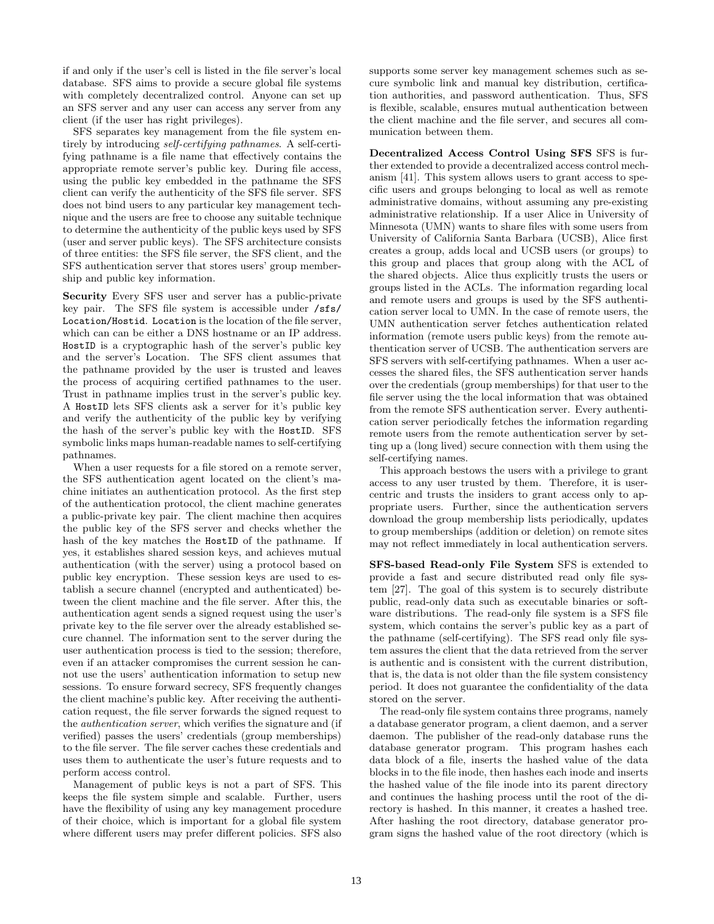if and only if the user's cell is listed in the file server's local database. SFS aims to provide a secure global file systems with completely decentralized control. Anyone can set up an SFS server and any user can access any server from any client (if the user has right privileges).

SFS separates key management from the file system entirely by introducing self-certifying pathnames. A self-certifying pathname is a file name that effectively contains the appropriate remote server's public key. During file access, using the public key embedded in the pathname the SFS client can verify the authenticity of the SFS file server. SFS does not bind users to any particular key management technique and the users are free to choose any suitable technique to determine the authenticity of the public keys used by SFS (user and server public keys). The SFS architecture consists of three entities: the SFS file server, the SFS client, and the SFS authentication server that stores users' group membership and public key information.

Security Every SFS user and server has a public-private key pair. The SFS file system is accessible under /sfs/ Location/Hostid. Location is the location of the file server, which can can be either a DNS hostname or an IP address. HostID is a cryptographic hash of the server's public key and the server's Location. The SFS client assumes that the pathname provided by the user is trusted and leaves the process of acquiring certified pathnames to the user. Trust in pathname implies trust in the server's public key. A HostID lets SFS clients ask a server for it's public key and verify the authenticity of the public key by verifying the hash of the server's public key with the HostID. SFS symbolic links maps human-readable names to self-certifying pathnames.

When a user requests for a file stored on a remote server, the SFS authentication agent located on the client's machine initiates an authentication protocol. As the first step of the authentication protocol, the client machine generates a public-private key pair. The client machine then acquires the public key of the SFS server and checks whether the hash of the key matches the HostID of the pathname. If yes, it establishes shared session keys, and achieves mutual authentication (with the server) using a protocol based on public key encryption. These session keys are used to establish a secure channel (encrypted and authenticated) between the client machine and the file server. After this, the authentication agent sends a signed request using the user's private key to the file server over the already established secure channel. The information sent to the server during the user authentication process is tied to the session; therefore, even if an attacker compromises the current session he cannot use the users' authentication information to setup new sessions. To ensure forward secrecy, SFS frequently changes the client machine's public key. After receiving the authentication request, the file server forwards the signed request to the authentication server, which verifies the signature and (if verified) passes the users' credentials (group memberships) to the file server. The file server caches these credentials and uses them to authenticate the user's future requests and to perform access control.

Management of public keys is not a part of SFS. This keeps the file system simple and scalable. Further, users have the flexibility of using any key management procedure of their choice, which is important for a global file system where different users may prefer different policies. SFS also

supports some server key management schemes such as secure symbolic link and manual key distribution, certification authorities, and password authentication. Thus, SFS is flexible, scalable, ensures mutual authentication between the client machine and the file server, and secures all communication between them.

Decentralized Access Control Using SFS SFS is further extended to provide a decentralized access control mechanism [41]. This system allows users to grant access to specific users and groups belonging to local as well as remote administrative domains, without assuming any pre-existing administrative relationship. If a user Alice in University of Minnesota (UMN) wants to share files with some users from University of California Santa Barbara (UCSB), Alice first creates a group, adds local and UCSB users (or groups) to this group and places that group along with the ACL of the shared objects. Alice thus explicitly trusts the users or groups listed in the ACLs. The information regarding local and remote users and groups is used by the SFS authentication server local to UMN. In the case of remote users, the UMN authentication server fetches authentication related information (remote users public keys) from the remote authentication server of UCSB. The authentication servers are SFS servers with self-certifying pathnames. When a user accesses the shared files, the SFS authentication server hands over the credentials (group memberships) for that user to the file server using the the local information that was obtained from the remote SFS authentication server. Every authentication server periodically fetches the information regarding remote users from the remote authentication server by setting up a (long lived) secure connection with them using the self-certifying names.

This approach bestows the users with a privilege to grant access to any user trusted by them. Therefore, it is usercentric and trusts the insiders to grant access only to appropriate users. Further, since the authentication servers download the group membership lists periodically, updates to group memberships (addition or deletion) on remote sites may not reflect immediately in local authentication servers.

SFS-based Read-only File System SFS is extended to provide a fast and secure distributed read only file system [27]. The goal of this system is to securely distribute public, read-only data such as executable binaries or software distributions. The read-only file system is a SFS file system, which contains the server's public key as a part of the pathname (self-certifying). The SFS read only file system assures the client that the data retrieved from the server is authentic and is consistent with the current distribution, that is, the data is not older than the file system consistency period. It does not guarantee the confidentiality of the data stored on the server.

The read-only file system contains three programs, namely a database generator program, a client daemon, and a server daemon. The publisher of the read-only database runs the database generator program. This program hashes each data block of a file, inserts the hashed value of the data blocks in to the file inode, then hashes each inode and inserts the hashed value of the file inode into its parent directory and continues the hashing process until the root of the directory is hashed. In this manner, it creates a hashed tree. After hashing the root directory, database generator program signs the hashed value of the root directory (which is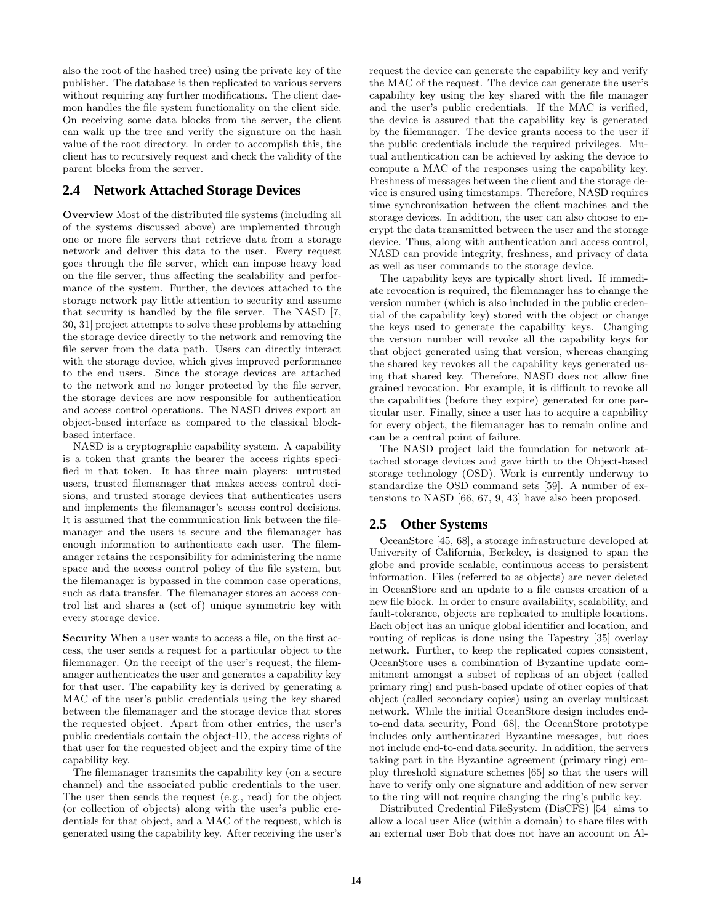also the root of the hashed tree) using the private key of the publisher. The database is then replicated to various servers without requiring any further modifications. The client daemon handles the file system functionality on the client side. On receiving some data blocks from the server, the client can walk up the tree and verify the signature on the hash value of the root directory. In order to accomplish this, the client has to recursively request and check the validity of the parent blocks from the server.

## **2.4 Network Attached Storage Devices**

Overview Most of the distributed file systems (including all of the systems discussed above) are implemented through one or more file servers that retrieve data from a storage network and deliver this data to the user. Every request goes through the file server, which can impose heavy load on the file server, thus affecting the scalability and performance of the system. Further, the devices attached to the storage network pay little attention to security and assume that security is handled by the file server. The NASD [7, 30, 31] project attempts to solve these problems by attaching the storage device directly to the network and removing the file server from the data path. Users can directly interact with the storage device, which gives improved performance to the end users. Since the storage devices are attached to the network and no longer protected by the file server, the storage devices are now responsible for authentication and access control operations. The NASD drives export an object-based interface as compared to the classical blockbased interface.

NASD is a cryptographic capability system. A capability is a token that grants the bearer the access rights specified in that token. It has three main players: untrusted users, trusted filemanager that makes access control decisions, and trusted storage devices that authenticates users and implements the filemanager's access control decisions. It is assumed that the communication link between the filemanager and the users is secure and the filemanager has enough information to authenticate each user. The filemanager retains the responsibility for administering the name space and the access control policy of the file system, but the filemanager is bypassed in the common case operations, such as data transfer. The filemanager stores an access control list and shares a (set of) unique symmetric key with every storage device.

Security When a user wants to access a file, on the first access, the user sends a request for a particular object to the filemanager. On the receipt of the user's request, the filemanager authenticates the user and generates a capability key for that user. The capability key is derived by generating a MAC of the user's public credentials using the key shared between the filemanager and the storage device that stores the requested object. Apart from other entries, the user's public credentials contain the object-ID, the access rights of that user for the requested object and the expiry time of the capability key.

The filemanager transmits the capability key (on a secure channel) and the associated public credentials to the user. The user then sends the request (e.g., read) for the object (or collection of objects) along with the user's public credentials for that object, and a MAC of the request, which is generated using the capability key. After receiving the user's request the device can generate the capability key and verify the MAC of the request. The device can generate the user's capability key using the key shared with the file manager and the user's public credentials. If the MAC is verified, the device is assured that the capability key is generated by the filemanager. The device grants access to the user if the public credentials include the required privileges. Mutual authentication can be achieved by asking the device to compute a MAC of the responses using the capability key. Freshness of messages between the client and the storage device is ensured using timestamps. Therefore, NASD requires time synchronization between the client machines and the storage devices. In addition, the user can also choose to encrypt the data transmitted between the user and the storage device. Thus, along with authentication and access control, NASD can provide integrity, freshness, and privacy of data as well as user commands to the storage device.

The capability keys are typically short lived. If immediate revocation is required, the filemanager has to change the version number (which is also included in the public credential of the capability key) stored with the object or change the keys used to generate the capability keys. Changing the version number will revoke all the capability keys for that object generated using that version, whereas changing the shared key revokes all the capability keys generated using that shared key. Therefore, NASD does not allow fine grained revocation. For example, it is difficult to revoke all the capabilities (before they expire) generated for one particular user. Finally, since a user has to acquire a capability for every object, the filemanager has to remain online and can be a central point of failure.

The NASD project laid the foundation for network attached storage devices and gave birth to the Object-based storage technology (OSD). Work is currently underway to standardize the OSD command sets [59]. A number of extensions to NASD [66, 67, 9, 43] have also been proposed.

#### **2.5 Other Systems**

OceanStore [45, 68], a storage infrastructure developed at University of California, Berkeley, is designed to span the globe and provide scalable, continuous access to persistent information. Files (referred to as objects) are never deleted in OceanStore and an update to a file causes creation of a new file block. In order to ensure availability, scalability, and fault-tolerance, objects are replicated to multiple locations. Each object has an unique global identifier and location, and routing of replicas is done using the Tapestry [35] overlay network. Further, to keep the replicated copies consistent, OceanStore uses a combination of Byzantine update commitment amongst a subset of replicas of an object (called primary ring) and push-based update of other copies of that object (called secondary copies) using an overlay multicast network. While the initial OceanStore design includes endto-end data security, Pond [68], the OceanStore prototype includes only authenticated Byzantine messages, but does not include end-to-end data security. In addition, the servers taking part in the Byzantine agreement (primary ring) employ threshold signature schemes [65] so that the users will have to verify only one signature and addition of new server to the ring will not require changing the ring's public key.

Distributed Credential FileSystem (DisCFS) [54] aims to allow a local user Alice (within a domain) to share files with an external user Bob that does not have an account on Al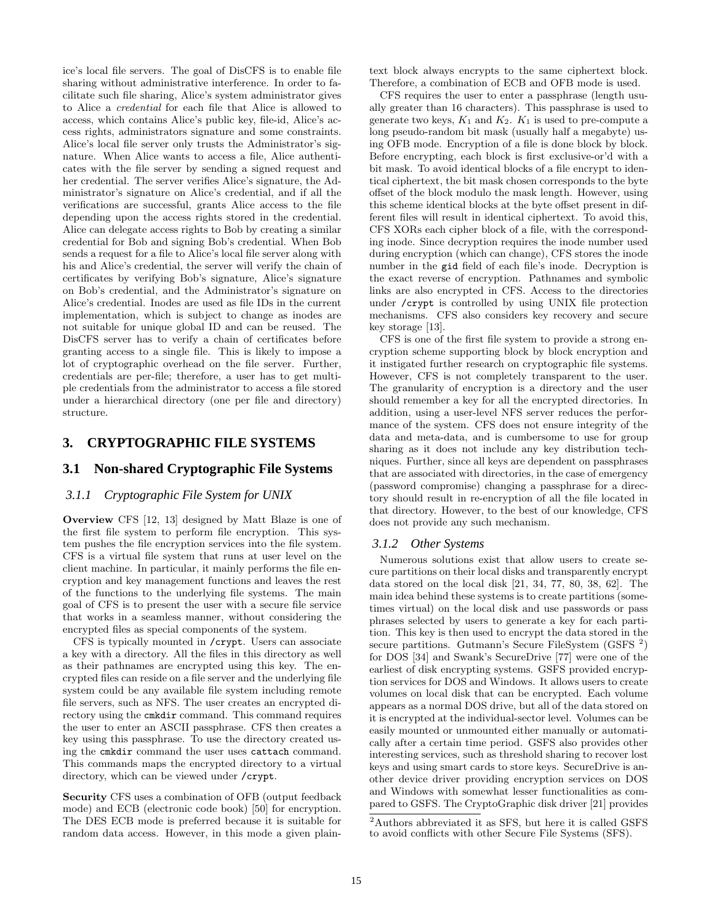ice's local file servers. The goal of DisCFS is to enable file sharing without administrative interference. In order to facilitate such file sharing, Alice's system administrator gives to Alice a credential for each file that Alice is allowed to access, which contains Alice's public key, file-id, Alice's access rights, administrators signature and some constraints. Alice's local file server only trusts the Administrator's signature. When Alice wants to access a file, Alice authenticates with the file server by sending a signed request and her credential. The server verifies Alice's signature, the Administrator's signature on Alice's credential, and if all the verifications are successful, grants Alice access to the file depending upon the access rights stored in the credential. Alice can delegate access rights to Bob by creating a similar credential for Bob and signing Bob's credential. When Bob sends a request for a file to Alice's local file server along with his and Alice's credential, the server will verify the chain of certificates by verifying Bob's signature, Alice's signature on Bob's credential, and the Administrator's signature on Alice's credential. Inodes are used as file IDs in the current implementation, which is subject to change as inodes are not suitable for unique global ID and can be reused. The DisCFS server has to verify a chain of certificates before granting access to a single file. This is likely to impose a lot of cryptographic overhead on the file server. Further, credentials are per-file; therefore, a user has to get multiple credentials from the administrator to access a file stored under a hierarchical directory (one per file and directory) structure.

# **3. CRYPTOGRAPHIC FILE SYSTEMS**

## **3.1 Non-shared Cryptographic File Systems**

#### *3.1.1 Cryptographic File System for UNIX*

Overview CFS [12, 13] designed by Matt Blaze is one of the first file system to perform file encryption. This system pushes the file encryption services into the file system. CFS is a virtual file system that runs at user level on the client machine. In particular, it mainly performs the file encryption and key management functions and leaves the rest of the functions to the underlying file systems. The main goal of CFS is to present the user with a secure file service that works in a seamless manner, without considering the encrypted files as special components of the system.

CFS is typically mounted in /crypt. Users can associate a key with a directory. All the files in this directory as well as their pathnames are encrypted using this key. The encrypted files can reside on a file server and the underlying file system could be any available file system including remote file servers, such as NFS. The user creates an encrypted directory using the cmkdir command. This command requires the user to enter an ASCII passphrase. CFS then creates a key using this passphrase. To use the directory created using the cmkdir command the user uses cattach command. This commands maps the encrypted directory to a virtual directory, which can be viewed under /crypt.

Security CFS uses a combination of OFB (output feedback mode) and ECB (electronic code book) [50] for encryption. The DES ECB mode is preferred because it is suitable for random data access. However, in this mode a given plaintext block always encrypts to the same ciphertext block. Therefore, a combination of ECB and OFB mode is used.

CFS requires the user to enter a passphrase (length usually greater than 16 characters). This passphrase is used to generate two keys,  $K_1$  and  $K_2$ .  $K_1$  is used to pre-compute a long pseudo-random bit mask (usually half a megabyte) using OFB mode. Encryption of a file is done block by block. Before encrypting, each block is first exclusive-or'd with a bit mask. To avoid identical blocks of a file encrypt to identical ciphertext, the bit mask chosen corresponds to the byte offset of the block modulo the mask length. However, using this scheme identical blocks at the byte offset present in different files will result in identical ciphertext. To avoid this, CFS XORs each cipher block of a file, with the corresponding inode. Since decryption requires the inode number used during encryption (which can change), CFS stores the inode number in the gid field of each file's inode. Decryption is the exact reverse of encryption. Pathnames and symbolic links are also encrypted in CFS. Access to the directories under /crypt is controlled by using UNIX file protection mechanisms. CFS also considers key recovery and secure key storage [13].

CFS is one of the first file system to provide a strong encryption scheme supporting block by block encryption and it instigated further research on cryptographic file systems. However, CFS is not completely transparent to the user. The granularity of encryption is a directory and the user should remember a key for all the encrypted directories. In addition, using a user-level NFS server reduces the performance of the system. CFS does not ensure integrity of the data and meta-data, and is cumbersome to use for group sharing as it does not include any key distribution techniques. Further, since all keys are dependent on passphrases that are associated with directories, in the case of emergency (password compromise) changing a passphrase for a directory should result in re-encryption of all the file located in that directory. However, to the best of our knowledge, CFS does not provide any such mechanism.

#### *3.1.2 Other Systems*

Numerous solutions exist that allow users to create secure partitions on their local disks and transparently encrypt data stored on the local disk [21, 34, 77, 80, 38, 62]. The main idea behind these systems is to create partitions (sometimes virtual) on the local disk and use passwords or pass phrases selected by users to generate a key for each partition. This key is then used to encrypt the data stored in the secure partitions. Gutmann's Secure FileSystem (GSFS<sup>2</sup>) for DOS [34] and Swank's SecureDrive [77] were one of the earliest of disk encrypting systems. GSFS provided encryption services for DOS and Windows. It allows users to create volumes on local disk that can be encrypted. Each volume appears as a normal DOS drive, but all of the data stored on it is encrypted at the individual-sector level. Volumes can be easily mounted or unmounted either manually or automatically after a certain time period. GSFS also provides other interesting services, such as threshold sharing to recover lost keys and using smart cards to store keys. SecureDrive is another device driver providing encryption services on DOS and Windows with somewhat lesser functionalities as compared to GSFS. The CryptoGraphic disk driver [21] provides

 $^{2}\mathrm{Aut}$  hors abbreviated it as SFS, but here it is called GSFS to avoid conflicts with other Secure File Systems (SFS).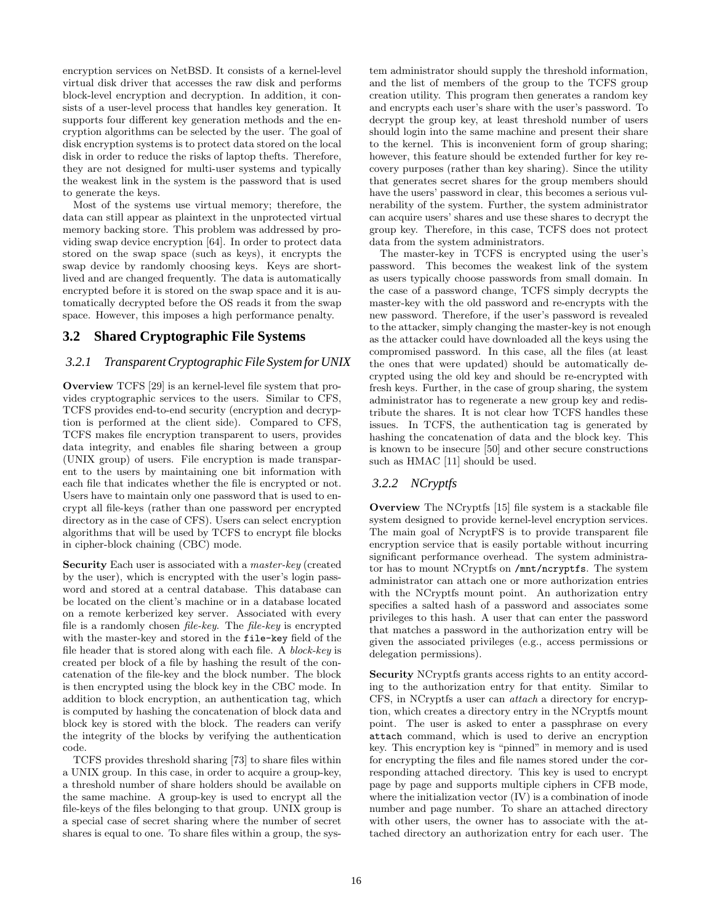encryption services on NetBSD. It consists of a kernel-level virtual disk driver that accesses the raw disk and performs block-level encryption and decryption. In addition, it consists of a user-level process that handles key generation. It supports four different key generation methods and the encryption algorithms can be selected by the user. The goal of disk encryption systems is to protect data stored on the local disk in order to reduce the risks of laptop thefts. Therefore, they are not designed for multi-user systems and typically the weakest link in the system is the password that is used to generate the keys.

Most of the systems use virtual memory; therefore, the data can still appear as plaintext in the unprotected virtual memory backing store. This problem was addressed by providing swap device encryption [64]. In order to protect data stored on the swap space (such as keys), it encrypts the swap device by randomly choosing keys. Keys are shortlived and are changed frequently. The data is automatically encrypted before it is stored on the swap space and it is automatically decrypted before the OS reads it from the swap space. However, this imposes a high performance penalty.

## **3.2 Shared Cryptographic File Systems**

## *3.2.1 Transparent Cryptographic File System for UNIX*

Overview TCFS [29] is an kernel-level file system that provides cryptographic services to the users. Similar to CFS, TCFS provides end-to-end security (encryption and decryption is performed at the client side). Compared to CFS, TCFS makes file encryption transparent to users, provides data integrity, and enables file sharing between a group (UNIX group) of users. File encryption is made transparent to the users by maintaining one bit information with each file that indicates whether the file is encrypted or not. Users have to maintain only one password that is used to encrypt all file-keys (rather than one password per encrypted directory as in the case of CFS). Users can select encryption algorithms that will be used by TCFS to encrypt file blocks in cipher-block chaining (CBC) mode.

Security Each user is associated with a *master-key* (created by the user), which is encrypted with the user's login password and stored at a central database. This database can be located on the client's machine or in a database located on a remote kerberized key server. Associated with every file is a randomly chosen file-key. The file-key is encrypted with the master-key and stored in the file-key field of the file header that is stored along with each file. A block-key is created per block of a file by hashing the result of the concatenation of the file-key and the block number. The block is then encrypted using the block key in the CBC mode. In addition to block encryption, an authentication tag, which is computed by hashing the concatenation of block data and block key is stored with the block. The readers can verify the integrity of the blocks by verifying the authentication code.

TCFS provides threshold sharing [73] to share files within a UNIX group. In this case, in order to acquire a group-key, a threshold number of share holders should be available on the same machine. A group-key is used to encrypt all the file-keys of the files belonging to that group. UNIX group is a special case of secret sharing where the number of secret shares is equal to one. To share files within a group, the system administrator should supply the threshold information, and the list of members of the group to the TCFS group creation utility. This program then generates a random key and encrypts each user's share with the user's password. To decrypt the group key, at least threshold number of users should login into the same machine and present their share to the kernel. This is inconvenient form of group sharing; however, this feature should be extended further for key recovery purposes (rather than key sharing). Since the utility that generates secret shares for the group members should have the users' password in clear, this becomes a serious vulnerability of the system. Further, the system administrator can acquire users' shares and use these shares to decrypt the group key. Therefore, in this case, TCFS does not protect data from the system administrators.

The master-key in TCFS is encrypted using the user's password. This becomes the weakest link of the system as users typically choose passwords from small domain. In the case of a password change, TCFS simply decrypts the master-key with the old password and re-encrypts with the new password. Therefore, if the user's password is revealed to the attacker, simply changing the master-key is not enough as the attacker could have downloaded all the keys using the compromised password. In this case, all the files (at least the ones that were updated) should be automatically decrypted using the old key and should be re-encrypted with fresh keys. Further, in the case of group sharing, the system administrator has to regenerate a new group key and redistribute the shares. It is not clear how TCFS handles these issues. In TCFS, the authentication tag is generated by hashing the concatenation of data and the block key. This is known to be insecure [50] and other secure constructions such as HMAC [11] should be used.

#### *3.2.2 NCryptfs*

Overview The NCryptfs [15] file system is a stackable file system designed to provide kernel-level encryption services. The main goal of NcryptFS is to provide transparent file encryption service that is easily portable without incurring significant performance overhead. The system administrator has to mount NCryptfs on /mnt/ncryptfs. The system administrator can attach one or more authorization entries with the NCryptfs mount point. An authorization entry specifies a salted hash of a password and associates some privileges to this hash. A user that can enter the password that matches a password in the authorization entry will be given the associated privileges (e.g., access permissions or delegation permissions).

Security NCryptfs grants access rights to an entity according to the authorization entry for that entity. Similar to CFS, in NCryptfs a user can attach a directory for encryption, which creates a directory entry in the NCryptfs mount point. The user is asked to enter a passphrase on every attach command, which is used to derive an encryption key. This encryption key is "pinned" in memory and is used for encrypting the files and file names stored under the corresponding attached directory. This key is used to encrypt page by page and supports multiple ciphers in CFB mode, where the initialization vector (IV) is a combination of inode number and page number. To share an attached directory with other users, the owner has to associate with the attached directory an authorization entry for each user. The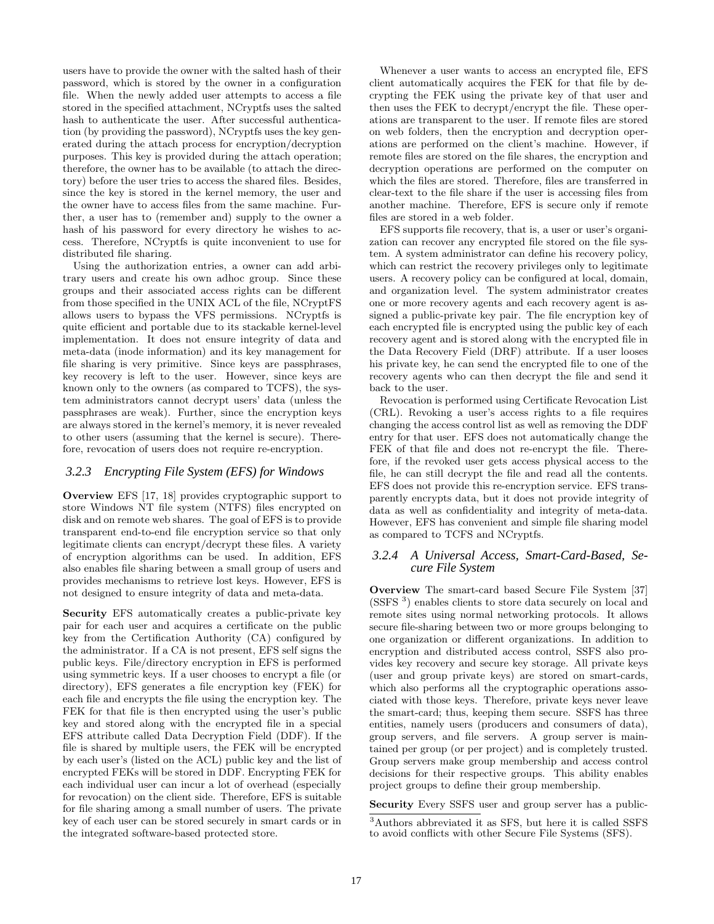users have to provide the owner with the salted hash of their password, which is stored by the owner in a configuration file. When the newly added user attempts to access a file stored in the specified attachment, NCryptfs uses the salted hash to authenticate the user. After successful authentication (by providing the password), NCryptfs uses the key generated during the attach process for encryption/decryption purposes. This key is provided during the attach operation; therefore, the owner has to be available (to attach the directory) before the user tries to access the shared files. Besides, since the key is stored in the kernel memory, the user and the owner have to access files from the same machine. Further, a user has to (remember and) supply to the owner a hash of his password for every directory he wishes to access. Therefore, NCryptfs is quite inconvenient to use for distributed file sharing.

Using the authorization entries, a owner can add arbitrary users and create his own adhoc group. Since these groups and their associated access rights can be different from those specified in the UNIX ACL of the file, NCryptFS allows users to bypass the VFS permissions. NCryptfs is quite efficient and portable due to its stackable kernel-level implementation. It does not ensure integrity of data and meta-data (inode information) and its key management for file sharing is very primitive. Since keys are passphrases, key recovery is left to the user. However, since keys are known only to the owners (as compared to TCFS), the system administrators cannot decrypt users' data (unless the passphrases are weak). Further, since the encryption keys are always stored in the kernel's memory, it is never revealed to other users (assuming that the kernel is secure). Therefore, revocation of users does not require re-encryption.

#### *3.2.3 Encrypting File System (EFS) for Windows*

Overview EFS [17, 18] provides cryptographic support to store Windows NT file system (NTFS) files encrypted on disk and on remote web shares. The goal of EFS is to provide transparent end-to-end file encryption service so that only legitimate clients can encrypt/decrypt these files. A variety of encryption algorithms can be used. In addition, EFS also enables file sharing between a small group of users and provides mechanisms to retrieve lost keys. However, EFS is not designed to ensure integrity of data and meta-data.

Security EFS automatically creates a public-private key pair for each user and acquires a certificate on the public key from the Certification Authority (CA) configured by the administrator. If a CA is not present, EFS self signs the public keys. File/directory encryption in EFS is performed using symmetric keys. If a user chooses to encrypt a file (or directory), EFS generates a file encryption key (FEK) for each file and encrypts the file using the encryption key. The FEK for that file is then encrypted using the user's public key and stored along with the encrypted file in a special EFS attribute called Data Decryption Field (DDF). If the file is shared by multiple users, the FEK will be encrypted by each user's (listed on the ACL) public key and the list of encrypted FEKs will be stored in DDF. Encrypting FEK for each individual user can incur a lot of overhead (especially for revocation) on the client side. Therefore, EFS is suitable for file sharing among a small number of users. The private key of each user can be stored securely in smart cards or in the integrated software-based protected store.

Whenever a user wants to access an encrypted file, EFS client automatically acquires the FEK for that file by decrypting the FEK using the private key of that user and then uses the FEK to decrypt/encrypt the file. These operations are transparent to the user. If remote files are stored on web folders, then the encryption and decryption operations are performed on the client's machine. However, if remote files are stored on the file shares, the encryption and decryption operations are performed on the computer on which the files are stored. Therefore, files are transferred in clear-text to the file share if the user is accessing files from another machine. Therefore, EFS is secure only if remote files are stored in a web folder.

EFS supports file recovery, that is, a user or user's organization can recover any encrypted file stored on the file system. A system administrator can define his recovery policy, which can restrict the recovery privileges only to legitimate users. A recovery policy can be configured at local, domain, and organization level. The system administrator creates one or more recovery agents and each recovery agent is assigned a public-private key pair. The file encryption key of each encrypted file is encrypted using the public key of each recovery agent and is stored along with the encrypted file in the Data Recovery Field (DRF) attribute. If a user looses his private key, he can send the encrypted file to one of the recovery agents who can then decrypt the file and send it back to the user.

Revocation is performed using Certificate Revocation List (CRL). Revoking a user's access rights to a file requires changing the access control list as well as removing the DDF entry for that user. EFS does not automatically change the FEK of that file and does not re-encrypt the file. Therefore, if the revoked user gets access physical access to the file, he can still decrypt the file and read all the contents. EFS does not provide this re-encryption service. EFS transparently encrypts data, but it does not provide integrity of data as well as confidentiality and integrity of meta-data. However, EFS has convenient and simple file sharing model as compared to TCFS and NCryptfs.

#### *3.2.4 A Universal Access, Smart-Card-Based, Secure File System*

Overview The smart-card based Secure File System [37] (SSFS <sup>3</sup> ) enables clients to store data securely on local and remote sites using normal networking protocols. It allows secure file-sharing between two or more groups belonging to one organization or different organizations. In addition to encryption and distributed access control, SSFS also provides key recovery and secure key storage. All private keys (user and group private keys) are stored on smart-cards, which also performs all the cryptographic operations associated with those keys. Therefore, private keys never leave the smart-card; thus, keeping them secure. SSFS has three entities, namely users (producers and consumers of data), group servers, and file servers. A group server is maintained per group (or per project) and is completely trusted. Group servers make group membership and access control decisions for their respective groups. This ability enables project groups to define their group membership.

Security Every SSFS user and group server has a public-

<sup>3</sup>Authors abbreviated it as SFS, but here it is called SSFS to avoid conflicts with other Secure File Systems (SFS).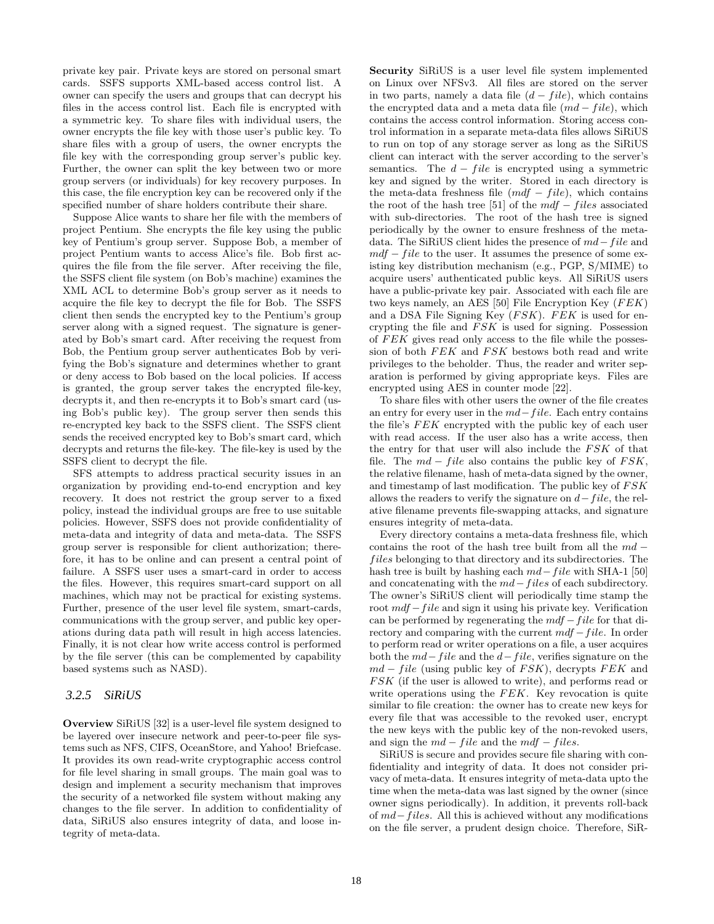private key pair. Private keys are stored on personal smart cards. SSFS supports XML-based access control list. A owner can specify the users and groups that can decrypt his files in the access control list. Each file is encrypted with a symmetric key. To share files with individual users, the owner encrypts the file key with those user's public key. To share files with a group of users, the owner encrypts the file key with the corresponding group server's public key. Further, the owner can split the key between two or more group servers (or individuals) for key recovery purposes. In this case, the file encryption key can be recovered only if the specified number of share holders contribute their share.

Suppose Alice wants to share her file with the members of project Pentium. She encrypts the file key using the public key of Pentium's group server. Suppose Bob, a member of project Pentium wants to access Alice's file. Bob first acquires the file from the file server. After receiving the file, the SSFS client file system (on Bob's machine) examines the XML ACL to determine Bob's group server as it needs to acquire the file key to decrypt the file for Bob. The SSFS client then sends the encrypted key to the Pentium's group server along with a signed request. The signature is generated by Bob's smart card. After receiving the request from Bob, the Pentium group server authenticates Bob by verifying the Bob's signature and determines whether to grant or deny access to Bob based on the local policies. If access is granted, the group server takes the encrypted file-key, decrypts it, and then re-encrypts it to Bob's smart card (using Bob's public key). The group server then sends this re-encrypted key back to the SSFS client. The SSFS client sends the received encrypted key to Bob's smart card, which decrypts and returns the file-key. The file-key is used by the SSFS client to decrypt the file.

SFS attempts to address practical security issues in an organization by providing end-to-end encryption and key recovery. It does not restrict the group server to a fixed policy, instead the individual groups are free to use suitable policies. However, SSFS does not provide confidentiality of meta-data and integrity of data and meta-data. The SSFS group server is responsible for client authorization; therefore, it has to be online and can present a central point of failure. A SSFS user uses a smart-card in order to access the files. However, this requires smart-card support on all machines, which may not be practical for existing systems. Further, presence of the user level file system, smart-cards, communications with the group server, and public key operations during data path will result in high access latencies. Finally, it is not clear how write access control is performed by the file server (this can be complemented by capability based systems such as NASD).

#### *3.2.5 SiRiUS*

Overview SiRiUS [32] is a user-level file system designed to be layered over insecure network and peer-to-peer file systems such as NFS, CIFS, OceanStore, and Yahoo! Briefcase. It provides its own read-write cryptographic access control for file level sharing in small groups. The main goal was to design and implement a security mechanism that improves the security of a networked file system without making any changes to the file server. In addition to confidentiality of data, SiRiUS also ensures integrity of data, and loose integrity of meta-data.

Security SiRiUS is a user level file system implemented on Linux over NFSv3. All files are stored on the server in two parts, namely a data file  $(d - file)$ , which contains the encrypted data and a meta data file  $(md - file)$ , which contains the access control information. Storing access control information in a separate meta-data files allows SiRiUS to run on top of any storage server as long as the SiRiUS client can interact with the server according to the server's semantics. The  $d$  – file is encrypted using a symmetric key and signed by the writer. Stored in each directory is the meta-data freshness file  $(mdf - file)$ , which contains the root of the hash tree [51] of the  $mdf - files$  associated with sub-directories. The root of the hash tree is signed periodically by the owner to ensure freshness of the metadata. The SiRiUS client hides the presence of md−f ile and  $mdf - file$  to the user. It assumes the presence of some existing key distribution mechanism (e.g., PGP, S/MIME) to acquire users' authenticated public keys. All SiRiUS users have a public-private key pair. Associated with each file are two keys namely, an AES [50] File Encryption Key  $(FEK)$ and a DSA File Signing Key  $(FSK)$ .  $FEK$  is used for encrypting the file and  $FSK$  is used for signing. Possession of  $FEK$  gives read only access to the file while the possession of both  $FEK$  and  $FSK$  bestows both read and write privileges to the beholder. Thus, the reader and writer separation is performed by giving appropriate keys. Files are encrypted using AES in counter mode [22].

To share files with other users the owner of the file creates an entry for every user in the md−f ile. Each entry contains the file's  $FEK$  encrypted with the public key of each user with read access. If the user also has a write access, then the entry for that user will also include the  $FSK$  of that file. The  $md - file$  also contains the public key of  $FSK$ , the relative filename, hash of meta-data signed by the owner, and timestamp of last modification. The public key of  $FSK$ allows the readers to verify the signature on  $d-file$ , the relative filename prevents file-swapping attacks, and signature ensures integrity of meta-data.

Every directory contains a meta-data freshness file, which contains the root of the hash tree built from all the  $md$ files belonging to that directory and its subdirectories. The hash tree is built by hashing each  $md-file$  with SHA-1 [50] and concatenating with the  $md-files$  of each subdirectory. The owner's SiRiUS client will periodically time stamp the root  $mdf$  − file and sign it using his private key. Verification can be performed by regenerating the  $mdf - file$  for that directory and comparing with the current  $mdf - file$ . In order to perform read or writer operations on a file, a user acquires both the  $md$ −file and the  $d$ −file, verifies signature on the  $md - file$  (using public key of  $FSK$ ), decrypts  $FEK$  and FSK (if the user is allowed to write), and performs read or write operations using the  $FEK$ . Key revocation is quite similar to file creation: the owner has to create new keys for every file that was accessible to the revoked user, encrypt the new keys with the public key of the non-revoked users, and sign the  $md - file$  and the  $mdf - files$ .

SiRiUS is secure and provides secure file sharing with confidentiality and integrity of data. It does not consider privacy of meta-data. It ensures integrity of meta-data upto the time when the meta-data was last signed by the owner (since owner signs periodically). In addition, it prevents roll-back of md−f iles. All this is achieved without any modifications on the file server, a prudent design choice. Therefore, SiR-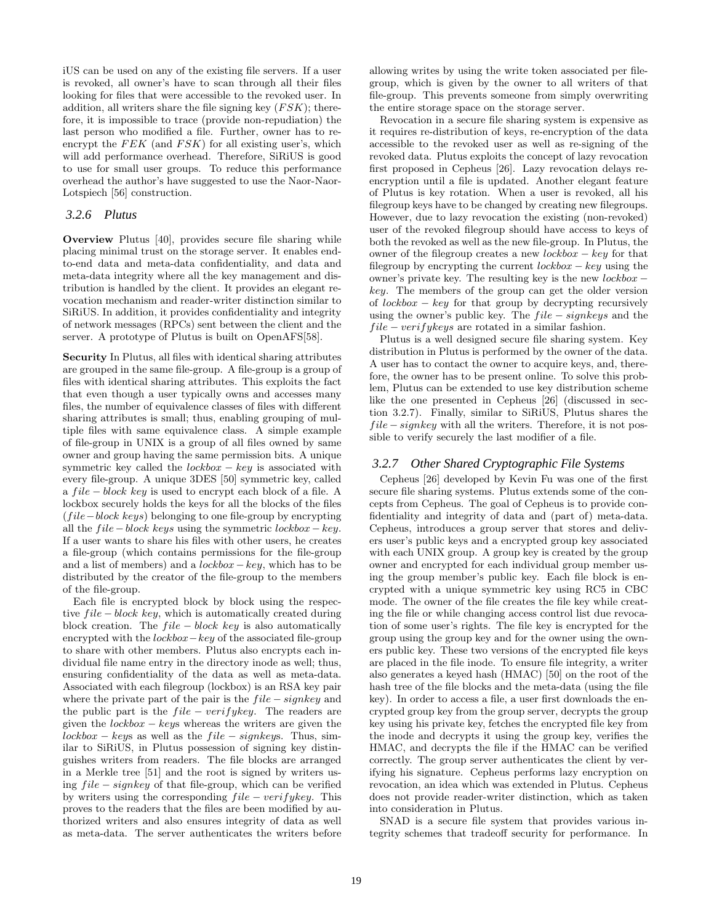iUS can be used on any of the existing file servers. If a user is revoked, all owner's have to scan through all their files looking for files that were accessible to the revoked user. In addition, all writers share the file signing key  $(FSK)$ ; therefore, it is impossible to trace (provide non-repudiation) the last person who modified a file. Further, owner has to reencrypt the  $FEK$  (and  $FSK$ ) for all existing user's, which will add performance overhead. Therefore, SiRiUS is good to use for small user groups. To reduce this performance overhead the author's have suggested to use the Naor-Naor-Lotspiech [56] construction.

#### *3.2.6 Plutus*

Overview Plutus [40], provides secure file sharing while placing minimal trust on the storage server. It enables endto-end data and meta-data confidentiality, and data and meta-data integrity where all the key management and distribution is handled by the client. It provides an elegant revocation mechanism and reader-writer distinction similar to SiRiUS. In addition, it provides confidentiality and integrity of network messages (RPCs) sent between the client and the server. A prototype of Plutus is built on OpenAFS[58].

Security In Plutus, all files with identical sharing attributes are grouped in the same file-group. A file-group is a group of files with identical sharing attributes. This exploits the fact that even though a user typically owns and accesses many files, the number of equivalence classes of files with different sharing attributes is small; thus, enabling grouping of multiple files with same equivalence class. A simple example of file-group in UNIX is a group of all files owned by same owner and group having the same permission bits. A unique symmetric key called the  $lockbox - key$  is associated with every file-group. A unique 3DES [50] symmetric key, called a *file* − *block key* is used to encrypt each block of a file. A lockbox securely holds the keys for all the blocks of the files  $(file-block \; keys)$  belonging to one file-group by encrypting all the  $file-block keys$  using the symmetric  $lockbox-key$ . If a user wants to share his files with other users, he creates a file-group (which contains permissions for the file-group and a list of members) and a  $lockbox-key$ , which has to be distributed by the creator of the file-group to the members of the file-group.

Each file is encrypted block by block using the respective  $file - block key$ , which is automatically created during block creation. The  $file - block key$  is also automatically encrypted with the lockbox−key of the associated file-group to share with other members. Plutus also encrypts each individual file name entry in the directory inode as well; thus, ensuring confidentiality of the data as well as meta-data. Associated with each filegroup (lockbox) is an RSA key pair where the private part of the pair is the  $file - signature$  and the public part is the  $file - verifykey$ . The readers are given the  $lockbox - keys$  whereas the writers are given the  $lockbox - keys$  as well as the  $file - signatures$ . Thus, similar to SiRiUS, in Plutus possession of signing key distinguishes writers from readers. The file blocks are arranged in a Merkle tree [51] and the root is signed by writers using  $file - signkey$  of that file-group, which can be verified by writers using the corresponding  $file - verifykey$ . This proves to the readers that the files are been modified by authorized writers and also ensures integrity of data as well as meta-data. The server authenticates the writers before

allowing writes by using the write token associated per filegroup, which is given by the owner to all writers of that file-group. This prevents someone from simply overwriting the entire storage space on the storage server.

Revocation in a secure file sharing system is expensive as it requires re-distribution of keys, re-encryption of the data accessible to the revoked user as well as re-signing of the revoked data. Plutus exploits the concept of lazy revocation first proposed in Cepheus [26]. Lazy revocation delays reencryption until a file is updated. Another elegant feature of Plutus is key rotation. When a user is revoked, all his filegroup keys have to be changed by creating new filegroups. However, due to lazy revocation the existing (non-revoked) user of the revoked filegroup should have access to keys of both the revoked as well as the new file-group. In Plutus, the owner of the filegroup creates a new  $lockbox - key$  for that filegroup by encrypting the current  $lockbox - key$  using the owner's private key. The resulting key is the new lockbox − key. The members of the group can get the older version of  $lockbox - key$  for that group by decrypting recursively using the owner's public key. The  $file-signkeys$  and the  $file - verifykeys$  are rotated in a similar fashion.

Plutus is a well designed secure file sharing system. Key distribution in Plutus is performed by the owner of the data. A user has to contact the owner to acquire keys, and, therefore, the owner has to be present online. To solve this problem, Plutus can be extended to use key distribution scheme like the one presented in Cepheus [26] (discussed in section 3.2.7). Finally, similar to SiRiUS, Plutus shares the  $file-signkey$  with all the writers. Therefore, it is not possible to verify securely the last modifier of a file.

#### *3.2.7 Other Shared Cryptographic File Systems*

Cepheus [26] developed by Kevin Fu was one of the first secure file sharing systems. Plutus extends some of the concepts from Cepheus. The goal of Cepheus is to provide confidentiality and integrity of data and (part of) meta-data. Cepheus, introduces a group server that stores and delivers user's public keys and a encrypted group key associated with each UNIX group. A group key is created by the group owner and encrypted for each individual group member using the group member's public key. Each file block is encrypted with a unique symmetric key using RC5 in CBC mode. The owner of the file creates the file key while creating the file or while changing access control list due revocation of some user's rights. The file key is encrypted for the group using the group key and for the owner using the owners public key. These two versions of the encrypted file keys are placed in the file inode. To ensure file integrity, a writer also generates a keyed hash (HMAC) [50] on the root of the hash tree of the file blocks and the meta-data (using the file key). In order to access a file, a user first downloads the encrypted group key from the group server, decrypts the group key using his private key, fetches the encrypted file key from the inode and decrypts it using the group key, verifies the HMAC, and decrypts the file if the HMAC can be verified correctly. The group server authenticates the client by verifying his signature. Cepheus performs lazy encryption on revocation, an idea which was extended in Plutus. Cepheus does not provide reader-writer distinction, which as taken into consideration in Plutus.

SNAD is a secure file system that provides various integrity schemes that tradeoff security for performance. In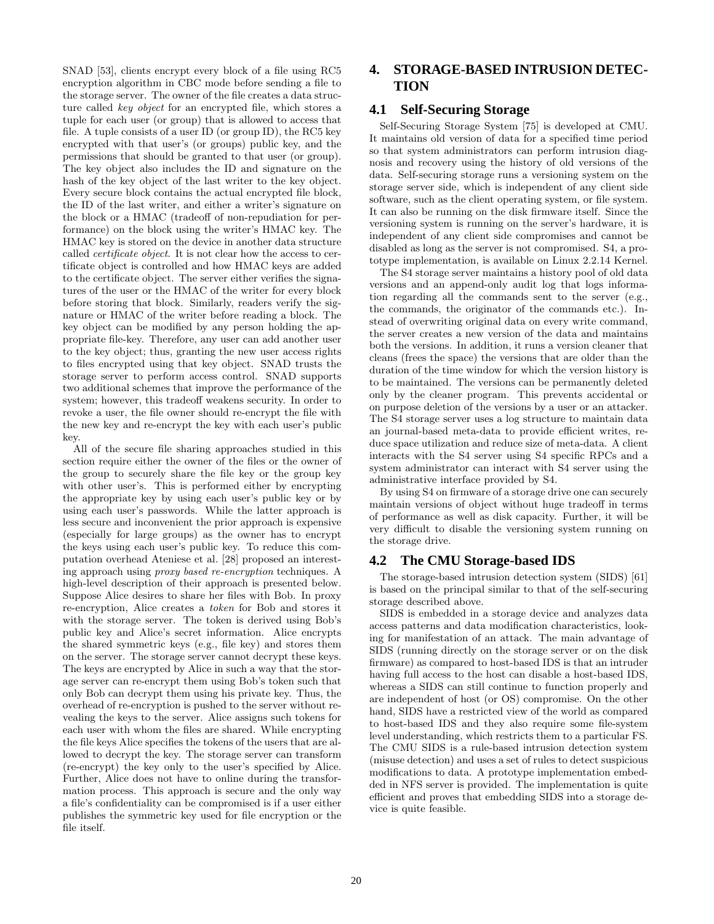SNAD [53], clients encrypt every block of a file using RC5 encryption algorithm in CBC mode before sending a file to the storage server. The owner of the file creates a data structure called key object for an encrypted file, which stores a tuple for each user (or group) that is allowed to access that file. A tuple consists of a user ID (or group ID), the RC5 key encrypted with that user's (or groups) public key, and the permissions that should be granted to that user (or group). The key object also includes the ID and signature on the hash of the key object of the last writer to the key object. Every secure block contains the actual encrypted file block, the ID of the last writer, and either a writer's signature on the block or a HMAC (tradeoff of non-repudiation for performance) on the block using the writer's HMAC key. The HMAC key is stored on the device in another data structure called certificate object. It is not clear how the access to certificate object is controlled and how HMAC keys are added to the certificate object. The server either verifies the signatures of the user or the HMAC of the writer for every block before storing that block. Similarly, readers verify the signature or HMAC of the writer before reading a block. The key object can be modified by any person holding the appropriate file-key. Therefore, any user can add another user to the key object; thus, granting the new user access rights to files encrypted using that key object. SNAD trusts the storage server to perform access control. SNAD supports two additional schemes that improve the performance of the system; however, this tradeoff weakens security. In order to revoke a user, the file owner should re-encrypt the file with the new key and re-encrypt the key with each user's public key.

All of the secure file sharing approaches studied in this section require either the owner of the files or the owner of the group to securely share the file key or the group key with other user's. This is performed either by encrypting the appropriate key by using each user's public key or by using each user's passwords. While the latter approach is less secure and inconvenient the prior approach is expensive (especially for large groups) as the owner has to encrypt the keys using each user's public key. To reduce this computation overhead Ateniese et al. [28] proposed an interesting approach using proxy based re-encryption techniques. A high-level description of their approach is presented below. Suppose Alice desires to share her files with Bob. In proxy re-encryption, Alice creates a token for Bob and stores it with the storage server. The token is derived using Bob's public key and Alice's secret information. Alice encrypts the shared symmetric keys (e.g., file key) and stores them on the server. The storage server cannot decrypt these keys. The keys are encrypted by Alice in such a way that the storage server can re-encrypt them using Bob's token such that only Bob can decrypt them using his private key. Thus, the overhead of re-encryption is pushed to the server without revealing the keys to the server. Alice assigns such tokens for each user with whom the files are shared. While encrypting the file keys Alice specifies the tokens of the users that are allowed to decrypt the key. The storage server can transform (re-encrypt) the key only to the user's specified by Alice. Further, Alice does not have to online during the transformation process. This approach is secure and the only way a file's confidentiality can be compromised is if a user either publishes the symmetric key used for file encryption or the file itself.

# **4. STORAGE-BASED INTRUSION DETEC-TION**

## **4.1 Self-Securing Storage**

Self-Securing Storage System [75] is developed at CMU. It maintains old version of data for a specified time period so that system administrators can perform intrusion diagnosis and recovery using the history of old versions of the data. Self-securing storage runs a versioning system on the storage server side, which is independent of any client side software, such as the client operating system, or file system. It can also be running on the disk firmware itself. Since the versioning system is running on the server's hardware, it is independent of any client side compromises and cannot be disabled as long as the server is not compromised. S4, a prototype implementation, is available on Linux 2.2.14 Kernel.

The S4 storage server maintains a history pool of old data versions and an append-only audit log that logs information regarding all the commands sent to the server (e.g., the commands, the originator of the commands etc.). Instead of overwriting original data on every write command, the server creates a new version of the data and maintains both the versions. In addition, it runs a version cleaner that cleans (frees the space) the versions that are older than the duration of the time window for which the version history is to be maintained. The versions can be permanently deleted only by the cleaner program. This prevents accidental or on purpose deletion of the versions by a user or an attacker. The S4 storage server uses a log structure to maintain data an journal-based meta-data to provide efficient writes, reduce space utilization and reduce size of meta-data. A client interacts with the S4 server using S4 specific RPCs and a system administrator can interact with S4 server using the administrative interface provided by S4.

By using S4 on firmware of a storage drive one can securely maintain versions of object without huge tradeoff in terms of performance as well as disk capacity. Further, it will be very difficult to disable the versioning system running on the storage drive.

## **4.2 The CMU Storage-based IDS**

The storage-based intrusion detection system (SIDS) [61] is based on the principal similar to that of the self-securing storage described above.

SIDS is embedded in a storage device and analyzes data access patterns and data modification characteristics, looking for manifestation of an attack. The main advantage of SIDS (running directly on the storage server or on the disk firmware) as compared to host-based IDS is that an intruder having full access to the host can disable a host-based IDS, whereas a SIDS can still continue to function properly and are independent of host (or OS) compromise. On the other hand, SIDS have a restricted view of the world as compared to host-based IDS and they also require some file-system level understanding, which restricts them to a particular FS. The CMU SIDS is a rule-based intrusion detection system (misuse detection) and uses a set of rules to detect suspicious modifications to data. A prototype implementation embedded in NFS server is provided. The implementation is quite efficient and proves that embedding SIDS into a storage device is quite feasible.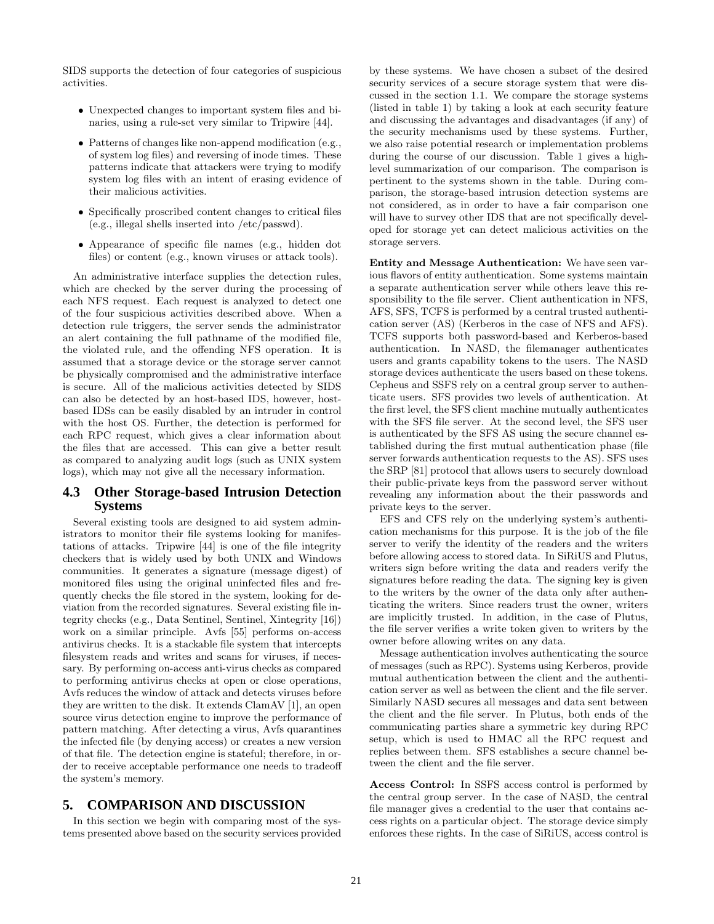SIDS supports the detection of four categories of suspicious activities.

- Unexpected changes to important system files and binaries, using a rule-set very similar to Tripwire [44].
- Patterns of changes like non-append modification (e.g., of system log files) and reversing of inode times. These patterns indicate that attackers were trying to modify system log files with an intent of erasing evidence of their malicious activities.
- Specifically proscribed content changes to critical files (e.g., illegal shells inserted into /etc/passwd).
- Appearance of specific file names (e.g., hidden dot files) or content (e.g., known viruses or attack tools).

An administrative interface supplies the detection rules, which are checked by the server during the processing of each NFS request. Each request is analyzed to detect one of the four suspicious activities described above. When a detection rule triggers, the server sends the administrator an alert containing the full pathname of the modified file, the violated rule, and the offending NFS operation. It is assumed that a storage device or the storage server cannot be physically compromised and the administrative interface is secure. All of the malicious activities detected by SIDS can also be detected by an host-based IDS, however, hostbased IDSs can be easily disabled by an intruder in control with the host OS. Further, the detection is performed for each RPC request, which gives a clear information about the files that are accessed. This can give a better result as compared to analyzing audit logs (such as UNIX system logs), which may not give all the necessary information.

## **4.3 Other Storage-based Intrusion Detection Systems**

Several existing tools are designed to aid system administrators to monitor their file systems looking for manifestations of attacks. Tripwire [44] is one of the file integrity checkers that is widely used by both UNIX and Windows communities. It generates a signature (message digest) of monitored files using the original uninfected files and frequently checks the file stored in the system, looking for deviation from the recorded signatures. Several existing file integrity checks (e.g., Data Sentinel, Sentinel, Xintegrity [16]) work on a similar principle. Avfs [55] performs on-access antivirus checks. It is a stackable file system that intercepts filesystem reads and writes and scans for viruses, if necessary. By performing on-access anti-virus checks as compared to performing antivirus checks at open or close operations, Avfs reduces the window of attack and detects viruses before they are written to the disk. It extends ClamAV [1], an open source virus detection engine to improve the performance of pattern matching. After detecting a virus, Avfs quarantines the infected file (by denying access) or creates a new version of that file. The detection engine is stateful; therefore, in order to receive acceptable performance one needs to tradeoff the system's memory.

## **5. COMPARISON AND DISCUSSION**

In this section we begin with comparing most of the systems presented above based on the security services provided by these systems. We have chosen a subset of the desired security services of a secure storage system that were discussed in the section 1.1. We compare the storage systems (listed in table 1) by taking a look at each security feature and discussing the advantages and disadvantages (if any) of the security mechanisms used by these systems. Further, we also raise potential research or implementation problems during the course of our discussion. Table 1 gives a highlevel summarization of our comparison. The comparison is pertinent to the systems shown in the table. During comparison, the storage-based intrusion detection systems are not considered, as in order to have a fair comparison one will have to survey other IDS that are not specifically developed for storage yet can detect malicious activities on the storage servers.

Entity and Message Authentication: We have seen various flavors of entity authentication. Some systems maintain a separate authentication server while others leave this responsibility to the file server. Client authentication in NFS, AFS, SFS, TCFS is performed by a central trusted authentication server (AS) (Kerberos in the case of NFS and AFS). TCFS supports both password-based and Kerberos-based authentication. In NASD, the filemanager authenticates users and grants capability tokens to the users. The NASD storage devices authenticate the users based on these tokens. Cepheus and SSFS rely on a central group server to authenticate users. SFS provides two levels of authentication. At the first level, the SFS client machine mutually authenticates with the SFS file server. At the second level, the SFS user is authenticated by the SFS AS using the secure channel established during the first mutual authentication phase (file server forwards authentication requests to the AS). SFS uses the SRP [81] protocol that allows users to securely download their public-private keys from the password server without revealing any information about the their passwords and private keys to the server.

EFS and CFS rely on the underlying system's authentication mechanisms for this purpose. It is the job of the file server to verify the identity of the readers and the writers before allowing access to stored data. In SiRiUS and Plutus, writers sign before writing the data and readers verify the signatures before reading the data. The signing key is given to the writers by the owner of the data only after authenticating the writers. Since readers trust the owner, writers are implicitly trusted. In addition, in the case of Plutus, the file server verifies a write token given to writers by the owner before allowing writes on any data.

Message authentication involves authenticating the source of messages (such as RPC). Systems using Kerberos, provide mutual authentication between the client and the authentication server as well as between the client and the file server. Similarly NASD secures all messages and data sent between the client and the file server. In Plutus, both ends of the communicating parties share a symmetric key during RPC setup, which is used to HMAC all the RPC request and replies between them. SFS establishes a secure channel between the client and the file server.

Access Control: In SSFS access control is performed by the central group server. In the case of NASD, the central file manager gives a credential to the user that contains access rights on a particular object. The storage device simply enforces these rights. In the case of SiRiUS, access control is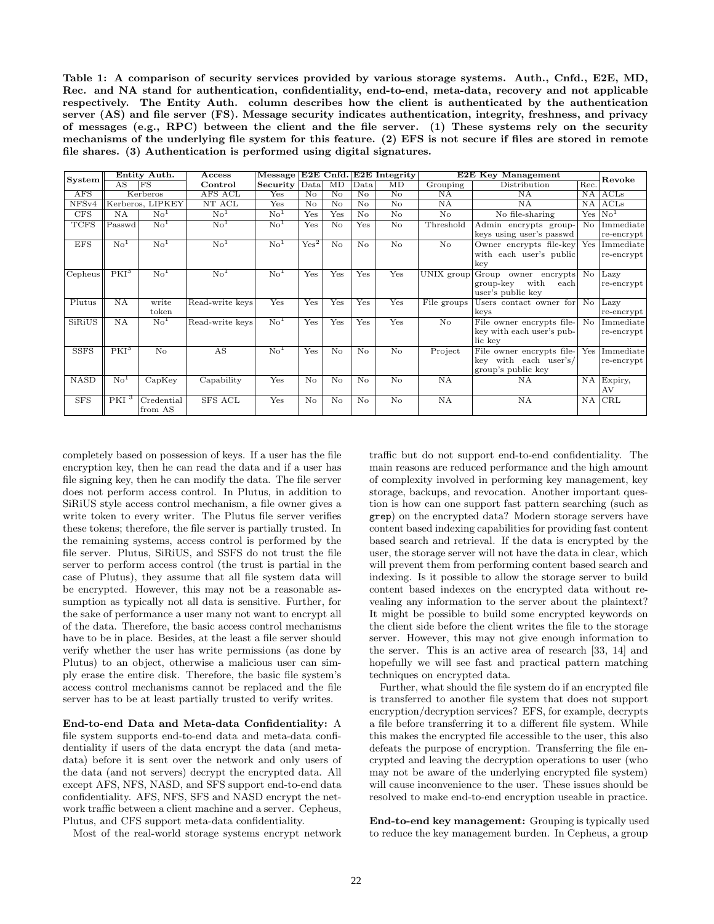Table 1: A comparison of security services provided by various storage systems. Auth., Cnfd., E2E, MD, Rec. and NA stand for authentication, confidentiality, end-to-end, meta-data, recovery and not applicable respectively. The Entity Auth. column describes how the client is authenticated by the authentication server (AS) and file server (FS). Message security indicates authentication, integrity, freshness, and privacy of messages (e.g., RPC) between the client and the file server. (1) These systems rely on the security mechanisms of the underlying file system for this feature. (2) EFS is not secure if files are stored in remote file shares. (3) Authentication is performed using digital signatures.

| System            | Entity Auth.     |                       | $\rm Access$      | Message         | E2E Cnfd. E2E Integrity |              |                    |          | <b>E2E</b> Key Management |                                                                                   |           | Revoke                  |
|-------------------|------------------|-----------------------|-------------------|-----------------|-------------------------|--------------|--------------------|----------|---------------------------|-----------------------------------------------------------------------------------|-----------|-------------------------|
|                   | AS<br>FS         |                       | Control           | Security        | Data                    | MD           | Data               | МD       | Grouping                  | Distribution                                                                      | Rec.      |                         |
| $\rm{AFS}$        | Kerberos         |                       | AFS ACL           | Yes             | $\overline{N_{O}}$      | No           | $\overline{N_{O}}$ | No       | NA                        | ΝA                                                                                | NA        | ACLs                    |
| NFS <sub>v4</sub> | Kerberos, LIPKEY |                       | NT ACL            | Yes             | No.                     | No           | No                 | No       | NA                        | <b>NA</b>                                                                         | <b>NA</b> | ACLs                    |
| <b>CFS</b>        | <b>NA</b>        | $\mathrm{No}^1$       | $\mathrm{No}^1$   | $\mathrm{No}^1$ | Yes                     | $_{\rm Yes}$ | No.                | No       | No                        | No file-sharing                                                                   | Yes       | $\mathrm{No}^1$         |
| <b>TCFS</b>       | Passwd           | $\mathrm{No}^1$       | $\overline{No}^1$ | $\mathrm{No}^1$ | Yes                     | No           | Yes                | $\rm No$ | Threshold                 | Admin encrypts group-<br>keys using user's passwd                                 | No        | Immediate<br>re-encrypt |
| <b>EFS</b>        | $\mathrm{No}^1$  | $\mathrm{No}^1$       | $\overline{No}^1$ | $\mathrm{No}^1$ | Yes <sup>2</sup>        | No           | No                 | No       | No                        | Owner encrypts file-key<br>with each user's public<br>key                         | Yes       | Immediate<br>re-encrypt |
| Cepheus           | PKI <sup>3</sup> | $\mathrm{No}^1$       | $\mathrm{No}^1$   | $\mathrm{No}^1$ | Yes                     | Yes          | Yes                | Yes      |                           | UNIX group Group owner encrypts<br>with<br>group-key<br>each<br>user's public key | No        | Lazy<br>re-encrypt      |
| Plutus            | NA               | write<br>token        | Read-write keys   | Yes             | Yes                     | $_{\rm Yes}$ | Yes                | Yes      | File groups               | Users contact owner for<br>keys                                                   | No        | Lazy<br>re-encrypt      |
| SiRiUS            | <b>NA</b>        | $\mathrm{No}^1$       | Read-write keys   | $\mathrm{No}^1$ | Yes                     | Yes          | Yes                | Yes      | No                        | File owner encrypts file-<br>key with each user's pub-<br>lic key                 | No        | Immediate<br>re-encrypt |
| <b>SSFS</b>       | PKI <sup>3</sup> | No                    | AS                | $\mathrm{No}^1$ | Yes                     | No           | No                 | No       | Project                   | File owner encrypts file-<br>key with each user's/<br>group's public key          | Yes       | Immediate<br>re-encrypt |
| <b>NASD</b>       | No <sup>1</sup>  | CapKey                | Capability        | Yes             | No.                     | No           | No                 | No       | <b>NA</b>                 | NA                                                                                | NA        | Expiry,<br>AV           |
| <b>SFS</b>        | PKI <sup>3</sup> | Credential<br>from AS | <b>SFS ACL</b>    | Yes             | No.                     | No           | No                 | No       | NA                        | NA                                                                                | NA        | CRL                     |

completely based on possession of keys. If a user has the file encryption key, then he can read the data and if a user has file signing key, then he can modify the data. The file server does not perform access control. In Plutus, in addition to SiRiUS style access control mechanism, a file owner gives a write token to every writer. The Plutus file server verifies these tokens; therefore, the file server is partially trusted. In the remaining systems, access control is performed by the file server. Plutus, SiRiUS, and SSFS do not trust the file server to perform access control (the trust is partial in the case of Plutus), they assume that all file system data will be encrypted. However, this may not be a reasonable assumption as typically not all data is sensitive. Further, for the sake of performance a user many not want to encrypt all of the data. Therefore, the basic access control mechanisms have to be in place. Besides, at the least a file server should verify whether the user has write permissions (as done by Plutus) to an object, otherwise a malicious user can simply erase the entire disk. Therefore, the basic file system's access control mechanisms cannot be replaced and the file server has to be at least partially trusted to verify writes.

End-to-end Data and Meta-data Confidentiality: A file system supports end-to-end data and meta-data confidentiality if users of the data encrypt the data (and metadata) before it is sent over the network and only users of the data (and not servers) decrypt the encrypted data. All except AFS, NFS, NASD, and SFS support end-to-end data confidentiality. AFS, NFS, SFS and NASD encrypt the network traffic between a client machine and a server. Cepheus, Plutus, and CFS support meta-data confidentiality.

Most of the real-world storage systems encrypt network

traffic but do not support end-to-end confidentiality. The main reasons are reduced performance and the high amount of complexity involved in performing key management, key storage, backups, and revocation. Another important question is how can one support fast pattern searching (such as grep) on the encrypted data? Modern storage servers have content based indexing capabilities for providing fast content based search and retrieval. If the data is encrypted by the user, the storage server will not have the data in clear, which will prevent them from performing content based search and indexing. Is it possible to allow the storage server to build content based indexes on the encrypted data without revealing any information to the server about the plaintext? It might be possible to build some encrypted keywords on the client side before the client writes the file to the storage server. However, this may not give enough information to the server. This is an active area of research [33, 14] and hopefully we will see fast and practical pattern matching techniques on encrypted data.

Further, what should the file system do if an encrypted file is transferred to another file system that does not support encryption/decryption services? EFS, for example, decrypts a file before transferring it to a different file system. While this makes the encrypted file accessible to the user, this also defeats the purpose of encryption. Transferring the file encrypted and leaving the decryption operations to user (who may not be aware of the underlying encrypted file system) will cause inconvenience to the user. These issues should be resolved to make end-to-end encryption useable in practice.

End-to-end key management: Grouping is typically used to reduce the key management burden. In Cepheus, a group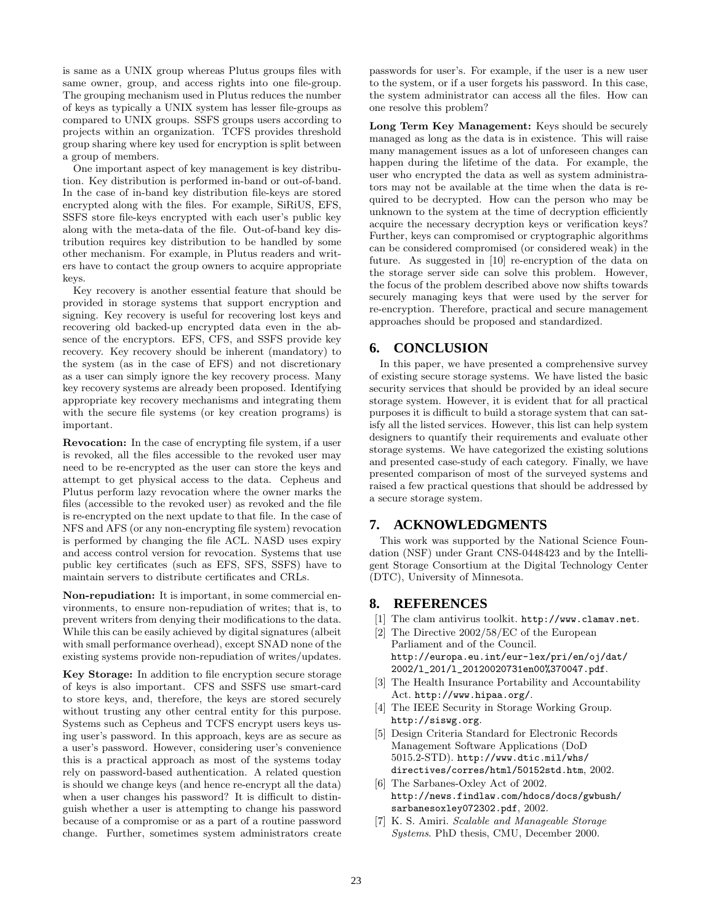is same as a UNIX group whereas Plutus groups files with same owner, group, and access rights into one file-group. The grouping mechanism used in Plutus reduces the number of keys as typically a UNIX system has lesser file-groups as compared to UNIX groups. SSFS groups users according to projects within an organization. TCFS provides threshold group sharing where key used for encryption is split between a group of members.

One important aspect of key management is key distribution. Key distribution is performed in-band or out-of-band. In the case of in-band key distribution file-keys are stored encrypted along with the files. For example, SiRiUS, EFS, SSFS store file-keys encrypted with each user's public key along with the meta-data of the file. Out-of-band key distribution requires key distribution to be handled by some other mechanism. For example, in Plutus readers and writers have to contact the group owners to acquire appropriate keys.

Key recovery is another essential feature that should be provided in storage systems that support encryption and signing. Key recovery is useful for recovering lost keys and recovering old backed-up encrypted data even in the absence of the encryptors. EFS, CFS, and SSFS provide key recovery. Key recovery should be inherent (mandatory) to the system (as in the case of EFS) and not discretionary as a user can simply ignore the key recovery process. Many key recovery systems are already been proposed. Identifying appropriate key recovery mechanisms and integrating them with the secure file systems (or key creation programs) is important.

Revocation: In the case of encrypting file system, if a user is revoked, all the files accessible to the revoked user may need to be re-encrypted as the user can store the keys and attempt to get physical access to the data. Cepheus and Plutus perform lazy revocation where the owner marks the files (accessible to the revoked user) as revoked and the file is re-encrypted on the next update to that file. In the case of NFS and AFS (or any non-encrypting file system) revocation is performed by changing the file ACL. NASD uses expiry and access control version for revocation. Systems that use public key certificates (such as EFS, SFS, SSFS) have to maintain servers to distribute certificates and CRLs.

Non-repudiation: It is important, in some commercial environments, to ensure non-repudiation of writes; that is, to prevent writers from denying their modifications to the data. While this can be easily achieved by digital signatures (albeit with small performance overhead), except SNAD none of the existing systems provide non-repudiation of writes/updates.

Key Storage: In addition to file encryption secure storage of keys is also important. CFS and SSFS use smart-card to store keys, and, therefore, the keys are stored securely without trusting any other central entity for this purpose. Systems such as Cepheus and TCFS encrypt users keys using user's password. In this approach, keys are as secure as a user's password. However, considering user's convenience this is a practical approach as most of the systems today rely on password-based authentication. A related question is should we change keys (and hence re-encrypt all the data) when a user changes his password? It is difficult to distinguish whether a user is attempting to change his password because of a compromise or as a part of a routine password change. Further, sometimes system administrators create passwords for user's. For example, if the user is a new user to the system, or if a user forgets his password. In this case, the system administrator can access all the files. How can one resolve this problem?

Long Term Key Management: Keys should be securely managed as long as the data is in existence. This will raise many management issues as a lot of unforeseen changes can happen during the lifetime of the data. For example, the user who encrypted the data as well as system administrators may not be available at the time when the data is required to be decrypted. How can the person who may be unknown to the system at the time of decryption efficiently acquire the necessary decryption keys or verification keys? Further, keys can compromised or cryptographic algorithms can be considered compromised (or considered weak) in the future. As suggested in [10] re-encryption of the data on the storage server side can solve this problem. However, the focus of the problem described above now shifts towards securely managing keys that were used by the server for re-encryption. Therefore, practical and secure management approaches should be proposed and standardized.

## **6. CONCLUSION**

In this paper, we have presented a comprehensive survey of existing secure storage systems. We have listed the basic security services that should be provided by an ideal secure storage system. However, it is evident that for all practical purposes it is difficult to build a storage system that can satisfy all the listed services. However, this list can help system designers to quantify their requirements and evaluate other storage systems. We have categorized the existing solutions and presented case-study of each category. Finally, we have presented comparison of most of the surveyed systems and raised a few practical questions that should be addressed by a secure storage system.

#### **7. ACKNOWLEDGMENTS**

This work was supported by the National Science Foundation (NSF) under Grant CNS-0448423 and by the Intelligent Storage Consortium at the Digital Technology Center (DTC), University of Minnesota.

## **8. REFERENCES**

- [1] The clam antivirus toolkit. http://www.clamav.net.
- [2] The Directive 2002/58/EC of the European Parliament and of the Council. http://europa.eu.int/eur-lex/pri/en/oj/dat/ 2002/l\_201/l\_20120020731en00%370047.pdf.
- [3] The Health Insurance Portability and Accountability Act. http://www.hipaa.org/.
- [4] The IEEE Security in Storage Working Group. http://siswg.org.
- [5] Design Criteria Standard for Electronic Records Management Software Applications (DoD 5015.2-STD). http://www.dtic.mil/whs/ directives/corres/html/50152std.htm, 2002.
- [6] The Sarbanes-Oxley Act of 2002. http://news.findlaw.com/hdocs/docs/gwbush/ sarbanesoxley072302.pdf, 2002.
- [7] K. S. Amiri. Scalable and Manageable Storage Systems. PhD thesis, CMU, December 2000.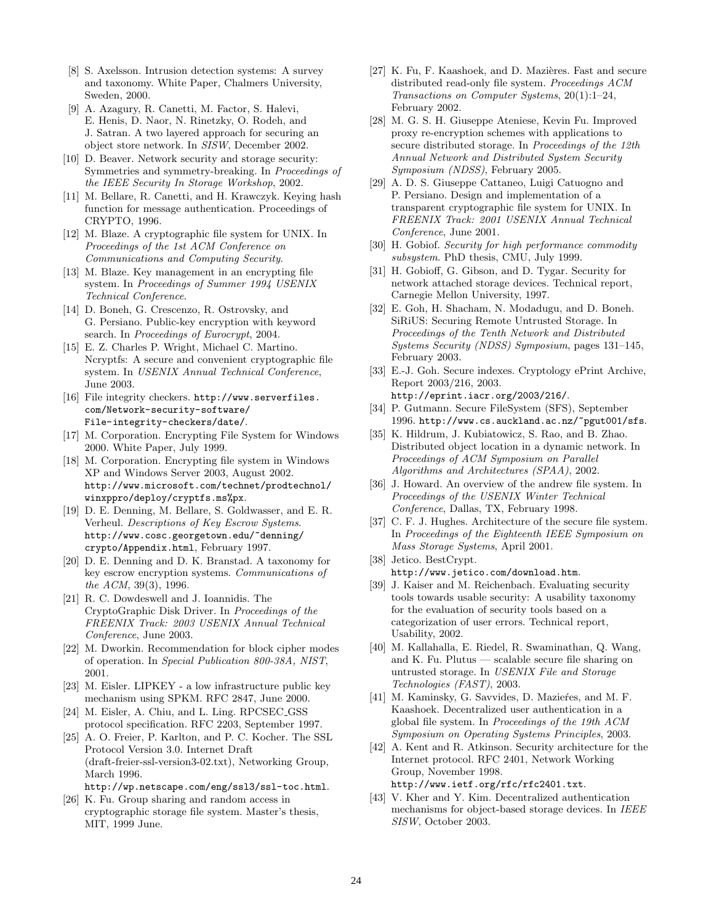- [8] S. Axelsson. Intrusion detection systems: A survey and taxonomy. White Paper, Chalmers University, Sweden, 2000.
- [9] A. Azagury, R. Canetti, M. Factor, S. Halevi, E. Henis, D. Naor, N. Rinetzky, O. Rodeh, and J. Satran. A two layered approach for securing an object store network. In SISW, December 2002.
- [10] D. Beaver. Network security and storage security: Symmetries and symmetry-breaking. In Proceedings of the IEEE Security In Storage Workshop, 2002.
- [11] M. Bellare, R. Canetti, and H. Krawczyk. Keying hash function for message authentication. Proceedings of CRYPTO, 1996.
- [12] M. Blaze. A cryptographic file system for UNIX. In Proceedings of the 1st ACM Conference on Communications and Computing Security.
- [13] M. Blaze. Key management in an encrypting file system. In Proceedings of Summer 1994 USENIX Technical Conference.
- [14] D. Boneh, G. Crescenzo, R. Ostrovsky, and G. Persiano. Public-key encryption with keyword search. In Proceedings of Eurocrypt, 2004.
- [15] E. Z. Charles P. Wright, Michael C. Martino. Ncryptfs: A secure and convenient cryptographic file system. In USENIX Annual Technical Conference, June 2003.
- [16] File integrity checkers. http://www.serverfiles. com/Network-security-software/ File-integrity-checkers/date/.
- [17] M. Corporation. Encrypting File System for Windows 2000. White Paper, July 1999.
- [18] M. Corporation. Encrypting file system in Windows XP and Windows Server 2003, August 2002. http://www.microsoft.com/technet/prodtechnol/ winxppro/deploy/cryptfs.ms%px.
- [19] D. E. Denning, M. Bellare, S. Goldwasser, and E. R. Verheul. Descriptions of Key Escrow Systems. http://www.cosc.georgetown.edu/~denning/ crypto/Appendix.html, February 1997.
- [20] D. E. Denning and D. K. Branstad. A taxonomy for key escrow encryption systems. Communications of the ACM, 39(3), 1996.
- [21] R. C. Dowdeswell and J. Ioannidis. The CryptoGraphic Disk Driver. In Proceedings of the FREENIX Track: 2003 USENIX Annual Technical Conference, June 2003.
- [22] M. Dworkin. Recommendation for block cipher modes of operation. In Special Publication 800-38A, NIST, 2001.
- [23] M. Eisler. LIPKEY a low infrastructure public key mechanism using SPKM. RFC 2847, June 2000.
- [24] M. Eisler, A. Chiu, and L. Ling. RPCSEC GSS protocol specification. RFC 2203, September 1997.
- [25] A. O. Freier, P. Karlton, and P. C. Kocher. The SSL Protocol Version 3.0. Internet Draft (draft-freier-ssl-version3-02.txt), Networking Group, March 1996.

http://wp.netscape.com/eng/ssl3/ssl-toc.html.

[26] K. Fu. Group sharing and random access in cryptographic storage file system. Master's thesis, MIT, 1999 June.

- [27] K. Fu, F. Kaashoek, and D. Mazières. Fast and secure distributed read-only file system. Proceedings ACM Transactions on Computer Systems, 20(1):1–24, February 2002.
- [28] M. G. S. H. Giuseppe Ateniese, Kevin Fu. Improved proxy re-encryption schemes with applications to secure distributed storage. In Proceedings of the 12th Annual Network and Distributed System Security Symposium (NDSS), February 2005.
- [29] A. D. S. Giuseppe Cattaneo, Luigi Catuogno and P. Persiano. Design and implementation of a transparent cryptographic file system for UNIX. In FREENIX Track: 2001 USENIX Annual Technical Conference, June 2001.
- [30] H. Gobiof. Security for high performance commodity subsystem. PhD thesis, CMU, July 1999.
- [31] H. Gobioff, G. Gibson, and D. Tygar. Security for network attached storage devices. Technical report, Carnegie Mellon University, 1997.
- [32] E. Goh, H. Shacham, N. Modadugu, and D. Boneh. SiRiUS: Securing Remote Untrusted Storage. In Proceedings of the Tenth Network and Distributed Systems Security (NDSS) Symposium, pages 131–145, February 2003.
- [33] E.-J. Goh. Secure indexes. Cryptology ePrint Archive, Report 2003/216, 2003.
- http://eprint.iacr.org/2003/216/. [34] P. Gutmann. Secure FileSystem (SFS), September
- 1996. http://www.cs.auckland.ac.nz/~pgut001/sfs. [35] K. Hildrum, J. Kubiatowicz, S. Rao, and B. Zhao. Distributed object location in a dynamic network. In Proceedings of ACM Symposium on Parallel Algorithms and Architectures (SPAA), 2002.
- [36] J. Howard. An overview of the andrew file system. In Proceedings of the USENIX Winter Technical Conference, Dallas, TX, February 1998.
- [37] C. F. J. Hughes. Architecture of the secure file system. In Proceedings of the Eighteenth IEEE Symposium on Mass Storage Systems, April 2001.
- [38] Jetico. BestCrypt. http://www.jetico.com/download.htm.
- [39] J. Kaiser and M. Reichenbach. Evaluating security tools towards usable security: A usability taxonomy for the evaluation of security tools based on a categorization of user errors. Technical report, Usability, 2002.
- [40] M. Kallahalla, E. Riedel, R. Swaminathan, Q. Wang, and K. Fu. Plutus — scalable secure file sharing on untrusted storage. In USENIX File and Storage Technologies (FAST), 2003.
- [41] M. Kaminsky, G. Savvides, D. Mazieŕes, and M. F. Kaashoek. Decentralized user authentication in a global file system. In Proceedings of the 19th ACM Symposium on Operating Systems Principles, 2003.
- [42] A. Kent and R. Atkinson. Security architecture for the Internet protocol. RFC 2401, Network Working Group, November 1998. http://www.ietf.org/rfc/rfc2401.txt.
- [43] V. Kher and Y. Kim. Decentralized authentication mechanisms for object-based storage devices. In IEEE SISW, October 2003.